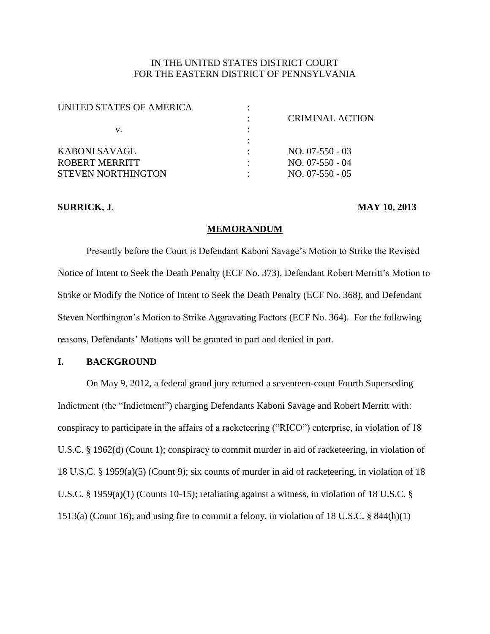# IN THE UNITED STATES DISTRICT COURT FOR THE EASTERN DISTRICT OF PENNSYLVANIA

| UNITED STATES OF AMERICA |                        |
|--------------------------|------------------------|
|                          | <b>CRIMINAL ACTION</b> |
| V.                       |                        |
|                          |                        |
| KABONI SAVAGE            | $NO. 07-550-03$        |
| ROBERT MERRITT           | $NO. 07-550 - 04$      |
| STEVEN NORTHINGTON       | $NO. 07-550 - 05$      |
|                          |                        |

# **SURRICK, J. MAY 10, 2013**

## **MEMORANDUM**

Presently before the Court is Defendant Kaboni Savage's Motion to Strike the Revised Notice of Intent to Seek the Death Penalty (ECF No. 373), Defendant Robert Merritt's Motion to Strike or Modify the Notice of Intent to Seek the Death Penalty (ECF No. 368), and Defendant Steven Northington's Motion to Strike Aggravating Factors (ECF No. 364). For the following reasons, Defendants' Motions will be granted in part and denied in part.

## **I. BACKGROUND**

On May 9, 2012, a federal grand jury returned a seventeen-count Fourth Superseding Indictment (the "Indictment") charging Defendants Kaboni Savage and Robert Merritt with: conspiracy to participate in the affairs of a racketeering ("RICO") enterprise, in violation of 18 U.S.C. § 1962(d) (Count 1); conspiracy to commit murder in aid of racketeering, in violation of 18 U.S.C. § 1959(a)(5) (Count 9); six counts of murder in aid of racketeering, in violation of 18 U.S.C. § 1959(a)(1) (Counts 10-15); retaliating against a witness, in violation of 18 U.S.C. § 1513(a) (Count 16); and using fire to commit a felony, in violation of 18 U.S.C. § 844(h)(1)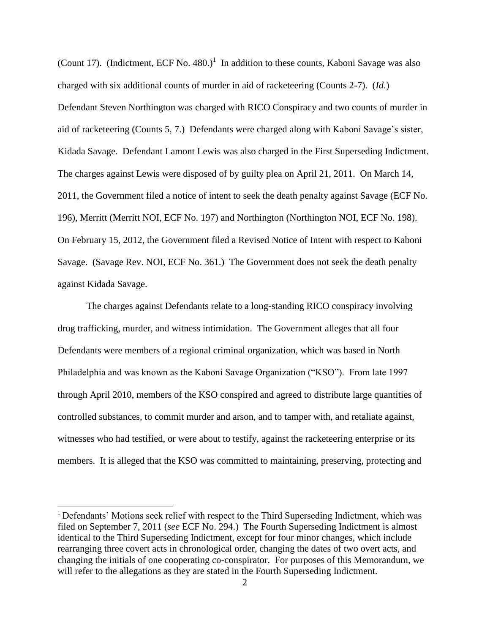(Count 17). (Indictment, ECF No. 480.)<sup>1</sup> In addition to these counts, Kaboni Savage was also charged with six additional counts of murder in aid of racketeering (Counts 2-7). (*Id*.) Defendant Steven Northington was charged with RICO Conspiracy and two counts of murder in aid of racketeering (Counts 5, 7.) Defendants were charged along with Kaboni Savage's sister, Kidada Savage. Defendant Lamont Lewis was also charged in the First Superseding Indictment. The charges against Lewis were disposed of by guilty plea on April 21, 2011. On March 14, 2011, the Government filed a notice of intent to seek the death penalty against Savage (ECF No. 196), Merritt (Merritt NOI, ECF No. 197) and Northington (Northington NOI, ECF No. 198). On February 15, 2012, the Government filed a Revised Notice of Intent with respect to Kaboni Savage. (Savage Rev. NOI, ECF No. 361.) The Government does not seek the death penalty against Kidada Savage.

The charges against Defendants relate to a long-standing RICO conspiracy involving drug trafficking, murder, and witness intimidation. The Government alleges that all four Defendants were members of a regional criminal organization, which was based in North Philadelphia and was known as the Kaboni Savage Organization ("KSO"). From late 1997 through April 2010, members of the KSO conspired and agreed to distribute large quantities of controlled substances, to commit murder and arson, and to tamper with, and retaliate against, witnesses who had testified, or were about to testify, against the racketeering enterprise or its members. It is alleged that the KSO was committed to maintaining, preserving, protecting and

l

<sup>&</sup>lt;sup>1</sup> Defendants' Motions seek relief with respect to the Third Superseding Indictment, which was filed on September 7, 2011 (*see* ECF No. 294.) The Fourth Superseding Indictment is almost identical to the Third Superseding Indictment, except for four minor changes, which include rearranging three covert acts in chronological order, changing the dates of two overt acts, and changing the initials of one cooperating co-conspirator. For purposes of this Memorandum, we will refer to the allegations as they are stated in the Fourth Superseding Indictment.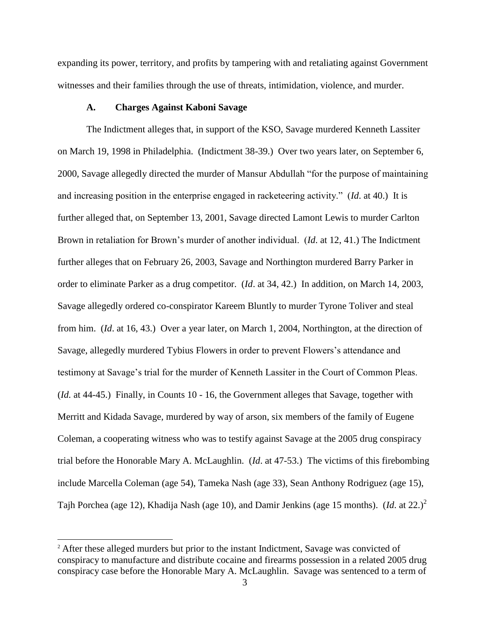expanding its power, territory, and profits by tampering with and retaliating against Government witnesses and their families through the use of threats, intimidation, violence, and murder.

#### **A. Charges Against Kaboni Savage**

The Indictment alleges that, in support of the KSO, Savage murdered Kenneth Lassiter on March 19, 1998 in Philadelphia. (Indictment 38-39.) Over two years later, on September 6, 2000, Savage allegedly directed the murder of Mansur Abdullah "for the purpose of maintaining and increasing position in the enterprise engaged in racketeering activity." (*Id*. at 40.) It is further alleged that, on September 13, 2001, Savage directed Lamont Lewis to murder Carlton Brown in retaliation for Brown's murder of another individual. (*Id*. at 12, 41.) The Indictment further alleges that on February 26, 2003, Savage and Northington murdered Barry Parker in order to eliminate Parker as a drug competitor. (*Id*. at 34, 42.) In addition, on March 14, 2003, Savage allegedly ordered co-conspirator Kareem Bluntly to murder Tyrone Toliver and steal from him. (*Id*. at 16, 43.) Over a year later, on March 1, 2004, Northington, at the direction of Savage, allegedly murdered Tybius Flowers in order to prevent Flowers's attendance and testimony at Savage's trial for the murder of Kenneth Lassiter in the Court of Common Pleas. (*Id.* at 44-45.) Finally, in Counts 10 - 16, the Government alleges that Savage, together with Merritt and Kidada Savage, murdered by way of arson, six members of the family of Eugene Coleman, a cooperating witness who was to testify against Savage at the 2005 drug conspiracy trial before the Honorable Mary A. McLaughlin. (*Id*. at 47-53.) The victims of this firebombing include Marcella Coleman (age 54), Tameka Nash (age 33), Sean Anthony Rodriguez (age 15), Tajh Porchea (age 12), Khadija Nash (age 10), and Damir Jenkins (age 15 months). (*Id*. at 22.)<sup>2</sup>

 $\overline{a}$ 

<sup>&</sup>lt;sup>2</sup> After these alleged murders but prior to the instant Indictment, Savage was convicted of conspiracy to manufacture and distribute cocaine and firearms possession in a related 2005 drug conspiracy case before the Honorable Mary A. McLaughlin. Savage was sentenced to a term of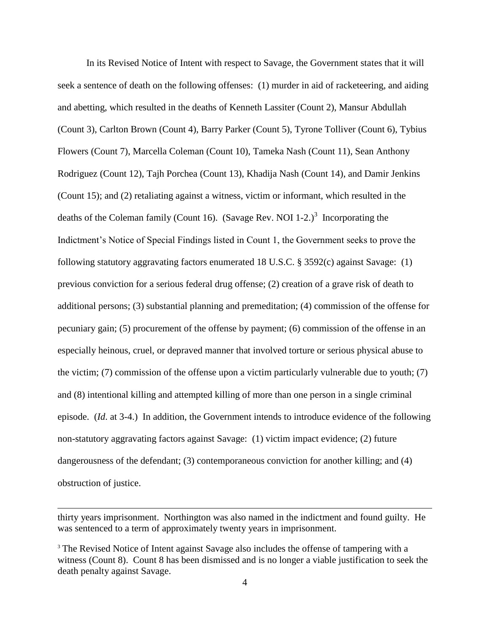In its Revised Notice of Intent with respect to Savage, the Government states that it will seek a sentence of death on the following offenses: (1) murder in aid of racketeering, and aiding and abetting, which resulted in the deaths of Kenneth Lassiter (Count 2), Mansur Abdullah (Count 3), Carlton Brown (Count 4), Barry Parker (Count 5), Tyrone Tolliver (Count 6), Tybius Flowers (Count 7), Marcella Coleman (Count 10), Tameka Nash (Count 11), Sean Anthony Rodriguez (Count 12), Tajh Porchea (Count 13), Khadija Nash (Count 14), and Damir Jenkins (Count 15); and (2) retaliating against a witness, victim or informant, which resulted in the deaths of the Coleman family (Count 16). (Savage Rev. NOI 1-2.)<sup>3</sup> Incorporating the Indictment's Notice of Special Findings listed in Count 1, the Government seeks to prove the following statutory aggravating factors enumerated 18 U.S.C. § 3592(c) against Savage: (1) previous conviction for a serious federal drug offense; (2) creation of a grave risk of death to additional persons; (3) substantial planning and premeditation; (4) commission of the offense for pecuniary gain; (5) procurement of the offense by payment; (6) commission of the offense in an especially heinous, cruel, or depraved manner that involved torture or serious physical abuse to the victim; (7) commission of the offense upon a victim particularly vulnerable due to youth; (7) and (8) intentional killing and attempted killing of more than one person in a single criminal episode. (*Id*. at 3-4.) In addition, the Government intends to introduce evidence of the following non-statutory aggravating factors against Savage: (1) victim impact evidence; (2) future dangerousness of the defendant; (3) contemporaneous conviction for another killing; and (4) obstruction of justice.

 $\overline{\phantom{a}}$ 

thirty years imprisonment. Northington was also named in the indictment and found guilty. He was sentenced to a term of approximately twenty years in imprisonment.

<sup>&</sup>lt;sup>3</sup> The Revised Notice of Intent against Savage also includes the offense of tampering with a witness (Count 8). Count 8 has been dismissed and is no longer a viable justification to seek the death penalty against Savage.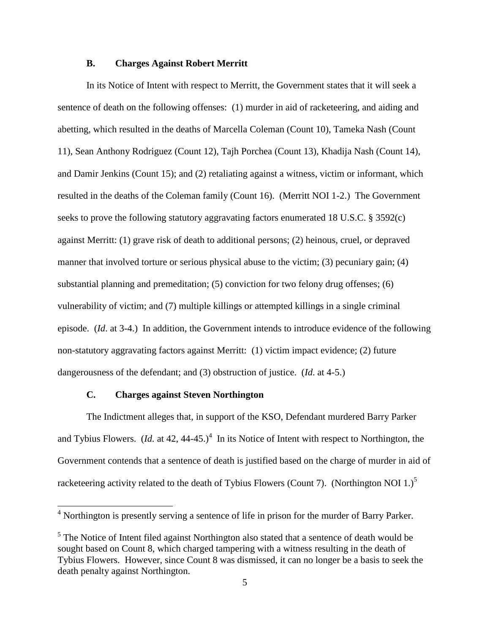## **B. Charges Against Robert Merritt**

In its Notice of Intent with respect to Merritt, the Government states that it will seek a sentence of death on the following offenses: (1) murder in aid of racketeering, and aiding and abetting, which resulted in the deaths of Marcella Coleman (Count 10), Tameka Nash (Count 11), Sean Anthony Rodriguez (Count 12), Tajh Porchea (Count 13), Khadija Nash (Count 14), and Damir Jenkins (Count 15); and (2) retaliating against a witness, victim or informant, which resulted in the deaths of the Coleman family (Count 16). (Merritt NOI 1-2.) The Government seeks to prove the following statutory aggravating factors enumerated 18 U.S.C. § 3592(c) against Merritt: (1) grave risk of death to additional persons; (2) heinous, cruel, or depraved manner that involved torture or serious physical abuse to the victim; (3) pecuniary gain; (4) substantial planning and premeditation; (5) conviction for two felony drug offenses; (6) vulnerability of victim; and (7) multiple killings or attempted killings in a single criminal episode. (*Id*. at 3-4.) In addition, the Government intends to introduce evidence of the following non-statutory aggravating factors against Merritt: (1) victim impact evidence; (2) future dangerousness of the defendant; and (3) obstruction of justice. (*Id*. at 4-5.)

## **C. Charges against Steven Northington**

l

The Indictment alleges that, in support of the KSO, Defendant murdered Barry Parker and Tybius Flowers. (*Id.* at 42, 44-45.)<sup>4</sup> In its Notice of Intent with respect to Northington, the Government contends that a sentence of death is justified based on the charge of murder in aid of racketeering activity related to the death of Tybius Flowers (Count 7). (Northington NOI 1.)<sup>5</sup>

 $4$  Northington is presently serving a sentence of life in prison for the murder of Barry Parker.

 $<sup>5</sup>$  The Notice of Intent filed against Northington also stated that a sentence of death would be</sup> sought based on Count 8, which charged tampering with a witness resulting in the death of Tybius Flowers. However, since Count 8 was dismissed, it can no longer be a basis to seek the death penalty against Northington.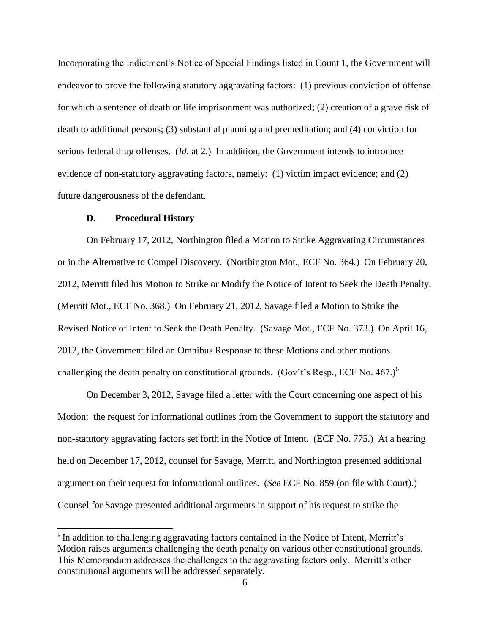Incorporating the Indictment's Notice of Special Findings listed in Count 1, the Government will endeavor to prove the following statutory aggravating factors: (1) previous conviction of offense for which a sentence of death or life imprisonment was authorized; (2) creation of a grave risk of death to additional persons; (3) substantial planning and premeditation; and (4) conviction for serious federal drug offenses. (*Id.* at 2.) In addition, the Government intends to introduce evidence of non-statutory aggravating factors, namely: (1) victim impact evidence; and (2) future dangerousness of the defendant.

#### **D. Procedural History**

 $\overline{\phantom{a}}$ 

On February 17, 2012, Northington filed a Motion to Strike Aggravating Circumstances or in the Alternative to Compel Discovery. (Northington Mot., ECF No. 364.) On February 20, 2012, Merritt filed his Motion to Strike or Modify the Notice of Intent to Seek the Death Penalty. (Merritt Mot., ECF No. 368.) On February 21, 2012, Savage filed a Motion to Strike the Revised Notice of Intent to Seek the Death Penalty. (Savage Mot., ECF No. 373.) On April 16, 2012, the Government filed an Omnibus Response to these Motions and other motions challenging the death penalty on constitutional grounds. (Gov't's Resp., ECF No.  $467.$ )<sup>6</sup>

On December 3, 2012, Savage filed a letter with the Court concerning one aspect of his Motion: the request for informational outlines from the Government to support the statutory and non-statutory aggravating factors set forth in the Notice of Intent. (ECF No. 775.) At a hearing held on December 17, 2012, counsel for Savage, Merritt, and Northington presented additional argument on their request for informational outlines. (*See* ECF No. 859 (on file with Court).) Counsel for Savage presented additional arguments in support of his request to strike the

<sup>&</sup>lt;sup>6</sup> In addition to challenging aggravating factors contained in the Notice of Intent, Merritt's Motion raises arguments challenging the death penalty on various other constitutional grounds. This Memorandum addresses the challenges to the aggravating factors only. Merritt's other constitutional arguments will be addressed separately.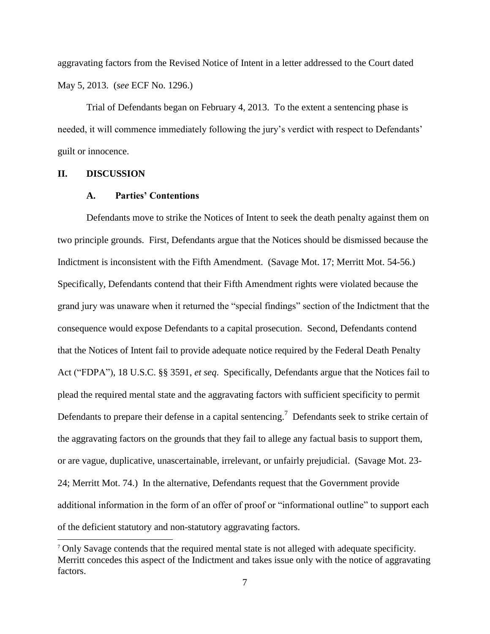aggravating factors from the Revised Notice of Intent in a letter addressed to the Court dated May 5, 2013. (*see* ECF No. 1296.)

Trial of Defendants began on February 4, 2013. To the extent a sentencing phase is needed, it will commence immediately following the jury's verdict with respect to Defendants' guilt or innocence.

## **II. DISCUSSION**

 $\overline{\phantom{a}}$ 

## **A. Parties' Contentions**

Defendants move to strike the Notices of Intent to seek the death penalty against them on two principle grounds. First, Defendants argue that the Notices should be dismissed because the Indictment is inconsistent with the Fifth Amendment. (Savage Mot. 17; Merritt Mot. 54-56.) Specifically, Defendants contend that their Fifth Amendment rights were violated because the grand jury was unaware when it returned the "special findings" section of the Indictment that the consequence would expose Defendants to a capital prosecution. Second, Defendants contend that the Notices of Intent fail to provide adequate notice required by the Federal Death Penalty Act ("FDPA"), 18 U.S.C. §§ 3591, *et seq*. Specifically, Defendants argue that the Notices fail to plead the required mental state and the aggravating factors with sufficient specificity to permit Defendants to prepare their defense in a capital sentencing.<sup>7</sup> Defendants seek to strike certain of the aggravating factors on the grounds that they fail to allege any factual basis to support them, or are vague, duplicative, unascertainable, irrelevant, or unfairly prejudicial. (Savage Mot. 23- 24; Merritt Mot. 74.) In the alternative, Defendants request that the Government provide additional information in the form of an offer of proof or "informational outline" to support each of the deficient statutory and non-statutory aggravating factors.

<sup>7</sup> Only Savage contends that the required mental state is not alleged with adequate specificity. Merritt concedes this aspect of the Indictment and takes issue only with the notice of aggravating factors.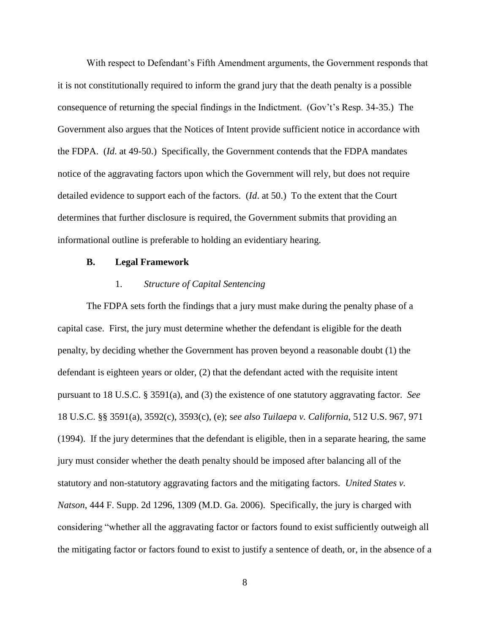With respect to Defendant's Fifth Amendment arguments, the Government responds that it is not constitutionally required to inform the grand jury that the death penalty is a possible consequence of returning the special findings in the Indictment. (Gov't's Resp. 34-35.) The Government also argues that the Notices of Intent provide sufficient notice in accordance with the FDPA. (*Id*. at 49-50.) Specifically, the Government contends that the FDPA mandates notice of the aggravating factors upon which the Government will rely, but does not require detailed evidence to support each of the factors. (*Id*. at 50.) To the extent that the Court determines that further disclosure is required, the Government submits that providing an informational outline is preferable to holding an evidentiary hearing.

#### **B. Legal Framework**

## 1. *Structure of Capital Sentencing*

The FDPA sets forth the findings that a jury must make during the penalty phase of a capital case. First, the jury must determine whether the defendant is eligible for the death penalty, by deciding whether the Government has proven beyond a reasonable doubt (1) the defendant is eighteen years or older, (2) that the defendant acted with the requisite intent pursuant to 18 U.S.C. § 3591(a), and (3) the existence of one statutory aggravating factor. *See* 18 U.S.C. §§ 3591(a), 3592(c), 3593(c), (e); s*ee also Tuilaepa v. California*, 512 U.S. 967, 971 (1994). If the jury determines that the defendant is eligible, then in a separate hearing, the same jury must consider whether the death penalty should be imposed after balancing all of the statutory and non-statutory aggravating factors and the mitigating factors. *United States v. Natson*, 444 F. Supp. 2d 1296, 1309 (M.D. Ga. 2006). Specifically, the jury is charged with considering "whether all the aggravating factor or factors found to exist sufficiently outweigh all the mitigating factor or factors found to exist to justify a sentence of death, or, in the absence of a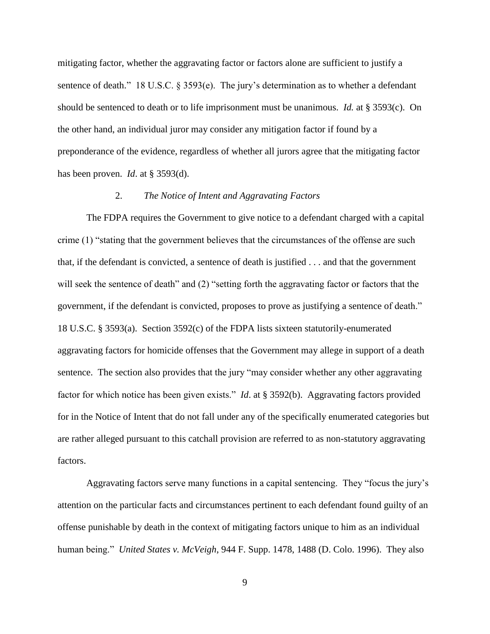mitigating factor, whether the aggravating factor or factors alone are sufficient to justify a sentence of death." 18 U.S.C. § 3593(e). The jury's determination as to whether a defendant should be sentenced to death or to life imprisonment must be unanimous. *Id.* at § 3593(c). On the other hand, an individual juror may consider any mitigation factor if found by a preponderance of the evidence, regardless of whether all jurors agree that the mitigating factor has been proven. *Id*. at § 3593(d).

## 2. *The Notice of Intent and Aggravating Factors*

The FDPA requires the Government to give notice to a defendant charged with a capital crime (1) "stating that the government believes that the circumstances of the offense are such that, if the defendant is convicted, a sentence of death is justified . . . and that the government will seek the sentence of death" and (2) "setting forth the aggravating factor or factors that the government, if the defendant is convicted, proposes to prove as justifying a sentence of death." 18 U.S.C. § 3593(a). Section 3592(c) of the FDPA lists sixteen statutorily-enumerated aggravating factors for homicide offenses that the Government may allege in support of a death sentence. The section also provides that the jury "may consider whether any other aggravating factor for which notice has been given exists." *Id*. at § 3592(b). Aggravating factors provided for in the Notice of Intent that do not fall under any of the specifically enumerated categories but are rather alleged pursuant to this catchall provision are referred to as non-statutory aggravating factors.

Aggravating factors serve many functions in a capital sentencing. They "focus the jury's attention on the particular facts and circumstances pertinent to each defendant found guilty of an offense punishable by death in the context of mitigating factors unique to him as an individual human being." *United States v. McVeigh*, 944 F. Supp. 1478, 1488 (D. Colo. 1996). They also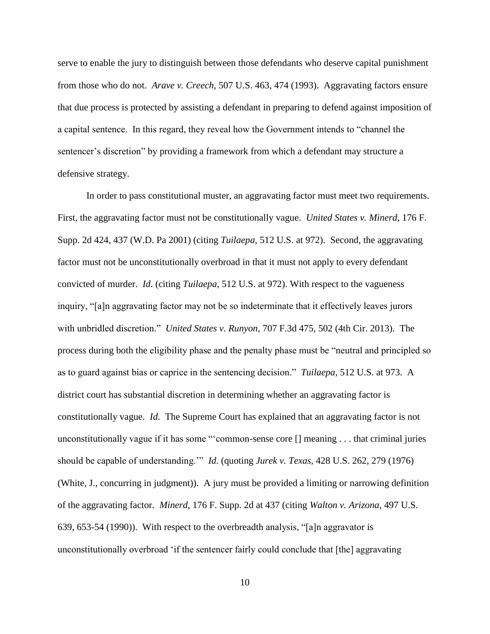serve to enable the jury to distinguish between those defendants who deserve capital punishment from those who do not. *Arave v. Creech*, 507 U.S. 463, 474 (1993). Aggravating factors ensure that due process is protected by assisting a defendant in preparing to defend against imposition of a capital sentence. In this regard, they reveal how the Government intends to "channel the sentencer's discretion" by providing a framework from which a defendant may structure a defensive strategy.

In order to pass constitutional muster, an aggravating factor must meet two requirements. First, the aggravating factor must not be constitutionally vague. *United States v. Minerd*, 176 F. Supp. 2d 424, 437 (W.D. Pa 2001) (citing *Tuilaepa*, 512 U.S. at 972). Second, the aggravating factor must not be unconstitutionally overbroad in that it must not apply to every defendant convicted of murder. *Id*. (citing *Tuilaepa*, 512 U.S. at 972). With respect to the vagueness inquiry, "[a]n aggravating factor may not be so indeterminate that it effectively leaves jurors with unbridled discretion." *United States v. Runyon*, 707 F.3d 475, 502 (4th Cir. 2013). The process during both the eligibility phase and the penalty phase must be "neutral and principled so as to guard against bias or caprice in the sentencing decision." *Tuilaepa*, 512 U.S. at 973. A district court has substantial discretion in determining whether an aggravating factor is constitutionally vague. *Id*. The Supreme Court has explained that an aggravating factor is not unconstitutionally vague if it has some "'common-sense core [] meaning . . . that criminal juries should be capable of understanding.'" *Id*. (quoting *Jurek v. Texas*, 428 U.S. 262, 279 (1976) (White, J., concurring in judgment)). A jury must be provided a limiting or narrowing definition of the aggravating factor. *Minerd*, 176 F. Supp. 2d at 437 (citing *Walton v. Arizona*, 497 U.S. 639, 653-54 (1990)). With respect to the overbreadth analysis, "[a]n aggravator is unconstitutionally overbroad 'if the sentencer fairly could conclude that [the] aggravating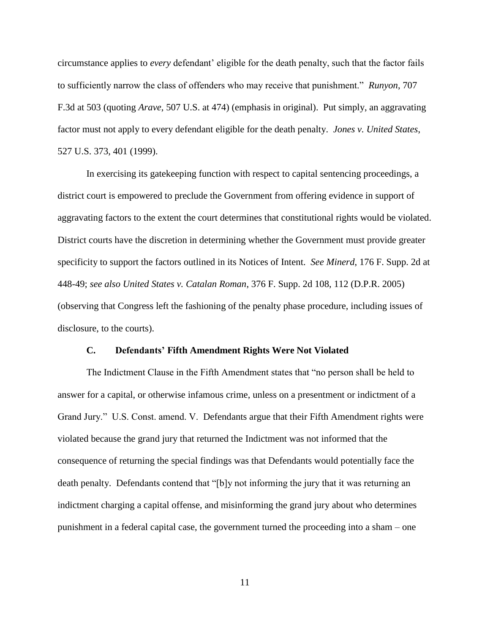circumstance applies to *every* defendant' eligible for the death penalty, such that the factor fails to sufficiently narrow the class of offenders who may receive that punishment." *Runyon*, 707 F.3d at 503 (quoting *Arave*, 507 U.S. at 474) (emphasis in original). Put simply, an aggravating factor must not apply to every defendant eligible for the death penalty. *Jones v. United States*, 527 U.S. 373, 401 (1999).

In exercising its gatekeeping function with respect to capital sentencing proceedings, a district court is empowered to preclude the Government from offering evidence in support of aggravating factors to the extent the court determines that constitutional rights would be violated. District courts have the discretion in determining whether the Government must provide greater specificity to support the factors outlined in its Notices of Intent. *See Minerd*, 176 F. Supp. 2d at 448-49; *see also United States v. Catalan Roman*, 376 F. Supp. 2d 108, 112 (D.P.R. 2005) (observing that Congress left the fashioning of the penalty phase procedure, including issues of disclosure, to the courts).

## **C. Defendants' Fifth Amendment Rights Were Not Violated**

The Indictment Clause in the Fifth Amendment states that "no person shall be held to answer for a capital, or otherwise infamous crime, unless on a presentment or indictment of a Grand Jury." U.S. Const. amend. V. Defendants argue that their Fifth Amendment rights were violated because the grand jury that returned the Indictment was not informed that the consequence of returning the special findings was that Defendants would potentially face the death penalty. Defendants contend that "[b]y not informing the jury that it was returning an indictment charging a capital offense, and misinforming the grand jury about who determines punishment in a federal capital case, the government turned the proceeding into a sham – one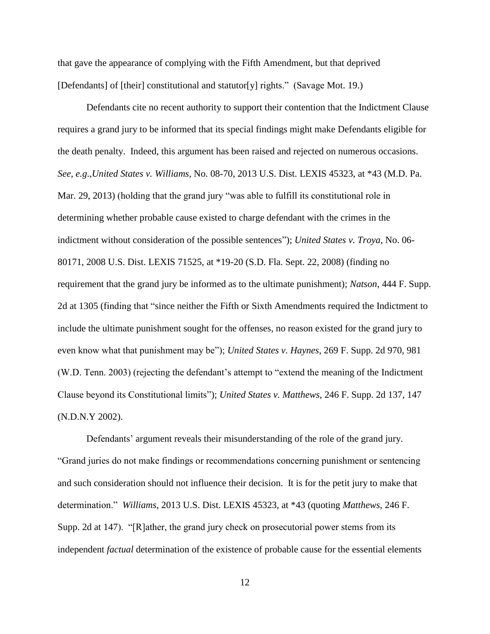that gave the appearance of complying with the Fifth Amendment, but that deprived [Defendants] of [their] constitutional and statutor[y] rights." (Savage Mot. 19.)

Defendants cite no recent authority to support their contention that the Indictment Clause requires a grand jury to be informed that its special findings might make Defendants eligible for the death penalty. Indeed, this argument has been raised and rejected on numerous occasions. *See, e.g*.,*United States v. Williams*, No. 08-70, 2013 U.S. Dist. LEXIS 45323, at \*43 (M.D. Pa. Mar. 29, 2013) (holding that the grand jury "was able to fulfill its constitutional role in determining whether probable cause existed to charge defendant with the crimes in the indictment without consideration of the possible sentences"); *United States v. Troya*, No. 06- 80171, 2008 U.S. Dist. LEXIS 71525, at \*19-20 (S.D. Fla. Sept. 22, 2008) (finding no requirement that the grand jury be informed as to the ultimate punishment); *Natson*, 444 F. Supp. 2d at 1305 (finding that "since neither the Fifth or Sixth Amendments required the Indictment to include the ultimate punishment sought for the offenses, no reason existed for the grand jury to even know what that punishment may be"); *United States v. Haynes*, 269 F. Supp. 2d 970, 981 (W.D. Tenn. 2003) (rejecting the defendant's attempt to "extend the meaning of the Indictment Clause beyond its Constitutional limits"); *United States v. Matthews*, 246 F. Supp. 2d 137, 147 (N.D.N.Y 2002).

Defendants' argument reveals their misunderstanding of the role of the grand jury. "Grand juries do not make findings or recommendations concerning punishment or sentencing and such consideration should not influence their decision. It is for the petit jury to make that determination." *Williams*, 2013 U.S. Dist. LEXIS 45323, at \*43 (quoting *Matthews*, 246 F. Supp. 2d at 147). "[R]ather, the grand jury check on prosecutorial power stems from its independent *factual* determination of the existence of probable cause for the essential elements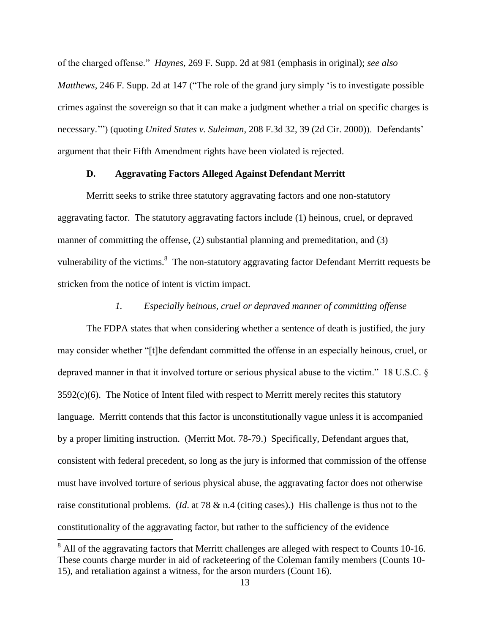of the charged offense." *Haynes*, 269 F. Supp. 2d at 981 (emphasis in original); *see also Matthews*, 246 F. Supp. 2d at 147 ("The role of the grand jury simply 'is to investigate possible crimes against the sovereign so that it can make a judgment whether a trial on specific charges is necessary.'") (quoting *United States v. Suleiman*, 208 F.3d 32, 39 (2d Cir. 2000)). Defendants' argument that their Fifth Amendment rights have been violated is rejected.

## **D. Aggravating Factors Alleged Against Defendant Merritt**

Merritt seeks to strike three statutory aggravating factors and one non-statutory aggravating factor. The statutory aggravating factors include (1) heinous, cruel, or depraved manner of committing the offense, (2) substantial planning and premeditation, and (3) vulnerability of the victims.<sup>8</sup> The non-statutory aggravating factor Defendant Merritt requests be stricken from the notice of intent is victim impact.

## *1. Especially heinous, cruel or depraved manner of committing offense*

The FDPA states that when considering whether a sentence of death is justified, the jury may consider whether "[t]he defendant committed the offense in an especially heinous, cruel, or depraved manner in that it involved torture or serious physical abuse to the victim." 18 U.S.C. §  $3592(c)(6)$ . The Notice of Intent filed with respect to Merritt merely recites this statutory language. Merritt contends that this factor is unconstitutionally vague unless it is accompanied by a proper limiting instruction. (Merritt Mot. 78-79.) Specifically, Defendant argues that, consistent with federal precedent, so long as the jury is informed that commission of the offense must have involved torture of serious physical abuse, the aggravating factor does not otherwise raise constitutional problems. (*Id*. at 78 & n.4 (citing cases).) His challenge is thus not to the constitutionality of the aggravating factor, but rather to the sufficiency of the evidence

 $\overline{\phantom{a}}$ 

<sup>&</sup>lt;sup>8</sup> All of the aggravating factors that Merritt challenges are alleged with respect to Counts 10-16. These counts charge murder in aid of racketeering of the Coleman family members (Counts 10- 15), and retaliation against a witness, for the arson murders (Count 16).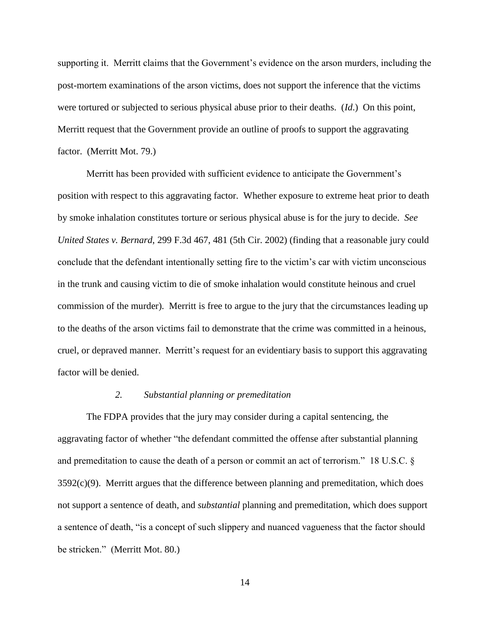supporting it. Merritt claims that the Government's evidence on the arson murders, including the post-mortem examinations of the arson victims, does not support the inference that the victims were tortured or subjected to serious physical abuse prior to their deaths. (*Id*.) On this point, Merritt request that the Government provide an outline of proofs to support the aggravating factor. (Merritt Mot. 79.)

Merritt has been provided with sufficient evidence to anticipate the Government's position with respect to this aggravating factor. Whether exposure to extreme heat prior to death by smoke inhalation constitutes torture or serious physical abuse is for the jury to decide. *See United States v. Bernard*, 299 F.3d 467, 481 (5th Cir. 2002) (finding that a reasonable jury could conclude that the defendant intentionally setting fire to the victim's car with victim unconscious in the trunk and causing victim to die of smoke inhalation would constitute heinous and cruel commission of the murder). Merritt is free to argue to the jury that the circumstances leading up to the deaths of the arson victims fail to demonstrate that the crime was committed in a heinous, cruel, or depraved manner. Merritt's request for an evidentiary basis to support this aggravating factor will be denied.

## *2. Substantial planning or premeditation*

The FDPA provides that the jury may consider during a capital sentencing, the aggravating factor of whether "the defendant committed the offense after substantial planning and premeditation to cause the death of a person or commit an act of terrorism." 18 U.S.C. §  $3592(c)(9)$ . Merritt argues that the difference between planning and premeditation, which does not support a sentence of death, and *substantial* planning and premeditation, which does support a sentence of death, "is a concept of such slippery and nuanced vagueness that the factor should be stricken." (Merritt Mot. 80.)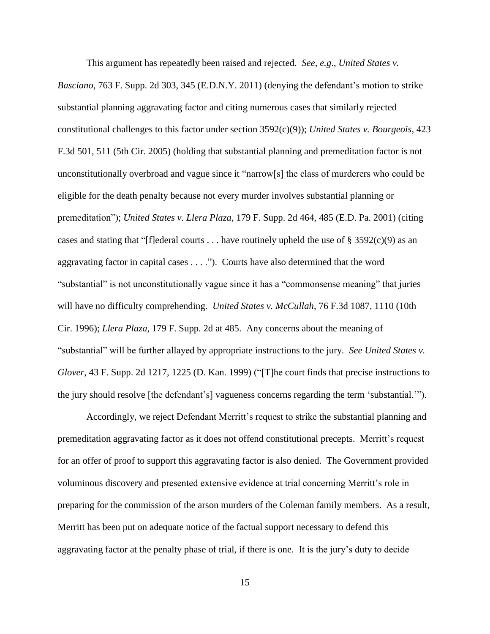This argument has repeatedly been raised and rejected. *See, e.g*., *United States v.* 

*Basciano*, 763 F. Supp. 2d 303, 345 (E.D.N.Y. 2011) (denying the defendant's motion to strike substantial planning aggravating factor and citing numerous cases that similarly rejected constitutional challenges to this factor under section 3592(c)(9)); *United States v. Bourgeois*, 423 F.3d 501, 511 (5th Cir. 2005) (holding that substantial planning and premeditation factor is not unconstitutionally overbroad and vague since it "narrow[s] the class of murderers who could be eligible for the death penalty because not every murder involves substantial planning or premeditation"); *United States v. Llera Plaza*, 179 F. Supp. 2d 464, 485 (E.D. Pa. 2001) (citing cases and stating that "[f]ederal courts . . . have routinely upheld the use of § 3592(c)(9) as an aggravating factor in capital cases . . . ."). Courts have also determined that the word "substantial" is not unconstitutionally vague since it has a "commonsense meaning" that juries will have no difficulty comprehending. *United States v. McCullah*, 76 F.3d 1087, 1110 (10th Cir. 1996); *Llera Plaza*, 179 F. Supp. 2d at 485. Any concerns about the meaning of "substantial" will be further allayed by appropriate instructions to the jury. *See United States v. Glover*, 43 F. Supp. 2d 1217, 1225 (D. Kan. 1999) ("[T]he court finds that precise instructions to the jury should resolve [the defendant's] vagueness concerns regarding the term 'substantial.'").

Accordingly, we reject Defendant Merritt's request to strike the substantial planning and premeditation aggravating factor as it does not offend constitutional precepts. Merritt's request for an offer of proof to support this aggravating factor is also denied. The Government provided voluminous discovery and presented extensive evidence at trial concerning Merritt's role in preparing for the commission of the arson murders of the Coleman family members. As a result, Merritt has been put on adequate notice of the factual support necessary to defend this aggravating factor at the penalty phase of trial, if there is one. It is the jury's duty to decide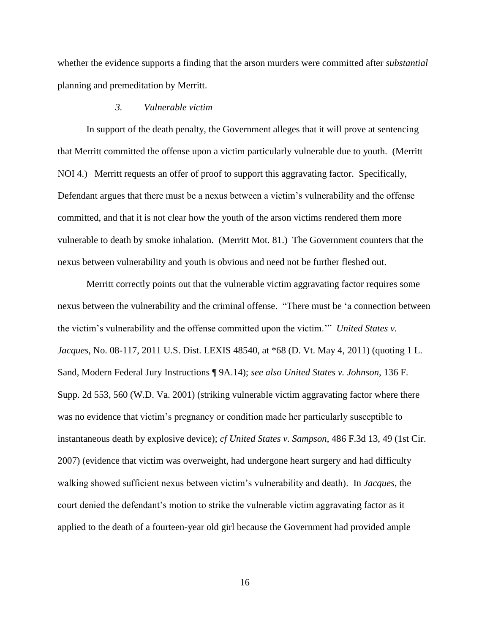whether the evidence supports a finding that the arson murders were committed after *substantial* planning and premeditation by Merritt.

## *3. Vulnerable victim*

In support of the death penalty, the Government alleges that it will prove at sentencing that Merritt committed the offense upon a victim particularly vulnerable due to youth. (Merritt NOI 4.) Merritt requests an offer of proof to support this aggravating factor. Specifically, Defendant argues that there must be a nexus between a victim's vulnerability and the offense committed, and that it is not clear how the youth of the arson victims rendered them more vulnerable to death by smoke inhalation. (Merritt Mot. 81.) The Government counters that the nexus between vulnerability and youth is obvious and need not be further fleshed out.

Merritt correctly points out that the vulnerable victim aggravating factor requires some nexus between the vulnerability and the criminal offense. "There must be 'a connection between the victim's vulnerability and the offense committed upon the victim.'" *United States v. Jacques*, No. 08-117, 2011 U.S. Dist. LEXIS 48540, at \*68 (D. Vt. May 4, 2011) (quoting 1 L. Sand, Modern Federal Jury Instructions ¶ 9A.14); *see also United States v. Johnson*, 136 F. Supp. 2d 553, 560 (W.D. Va. 2001) (striking vulnerable victim aggravating factor where there was no evidence that victim's pregnancy or condition made her particularly susceptible to instantaneous death by explosive device); *cf United States v. Sampson*, 486 F.3d 13, 49 (1st Cir. 2007) (evidence that victim was overweight, had undergone heart surgery and had difficulty walking showed sufficient nexus between victim's vulnerability and death). In *Jacques*, the court denied the defendant's motion to strike the vulnerable victim aggravating factor as it applied to the death of a fourteen-year old girl because the Government had provided ample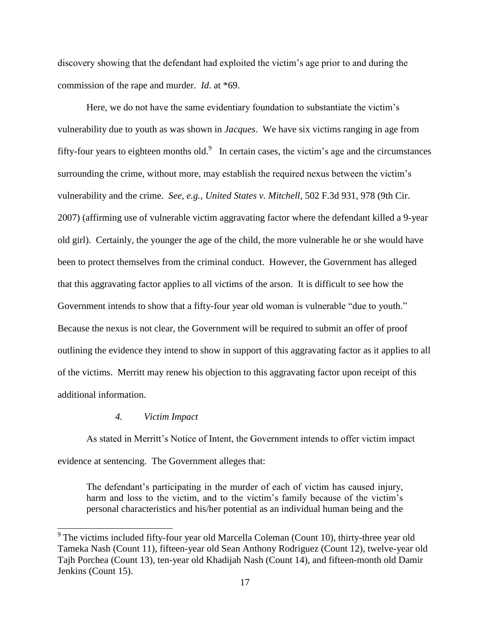discovery showing that the defendant had exploited the victim's age prior to and during the commission of the rape and murder. *Id*. at \*69.

Here, we do not have the same evidentiary foundation to substantiate the victim's vulnerability due to youth as was shown in *Jacques*. We have six victims ranging in age from fifty-four years to eighteen months old.<sup>9</sup> In certain cases, the victim's age and the circumstances surrounding the crime, without more, may establish the required nexus between the victim's vulnerability and the crime. *See, e.g.*, *United States v. Mitchell*, 502 F.3d 931, 978 (9th Cir. 2007) (affirming use of vulnerable victim aggravating factor where the defendant killed a 9-year old girl). Certainly, the younger the age of the child, the more vulnerable he or she would have been to protect themselves from the criminal conduct. However, the Government has alleged that this aggravating factor applies to all victims of the arson. It is difficult to see how the Government intends to show that a fifty-four year old woman is vulnerable "due to youth." Because the nexus is not clear, the Government will be required to submit an offer of proof outlining the evidence they intend to show in support of this aggravating factor as it applies to all of the victims. Merritt may renew his objection to this aggravating factor upon receipt of this additional information.

#### *4. Victim Impact*

 $\overline{\phantom{a}}$ 

As stated in Merritt's Notice of Intent, the Government intends to offer victim impact evidence at sentencing. The Government alleges that:

The defendant's participating in the murder of each of victim has caused injury, harm and loss to the victim, and to the victim's family because of the victim's personal characteristics and his/her potential as an individual human being and the

<sup>&</sup>lt;sup>9</sup> The victims included fifty-four year old Marcella Coleman (Count 10), thirty-three year old Tameka Nash (Count 11), fifteen-year old Sean Anthony Rodriguez (Count 12), twelve-year old Tajh Porchea (Count 13), ten-year old Khadijah Nash (Count 14), and fifteen-month old Damir Jenkins (Count 15).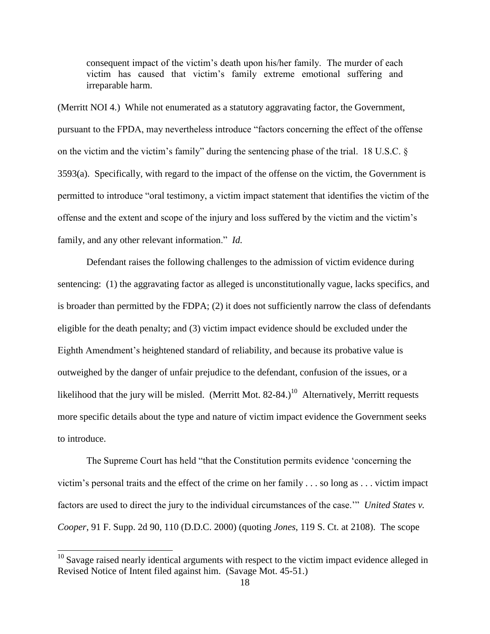consequent impact of the victim's death upon his/her family. The murder of each victim has caused that victim's family extreme emotional suffering and irreparable harm.

(Merritt NOI 4.) While not enumerated as a statutory aggravating factor, the Government, pursuant to the FPDA, may nevertheless introduce "factors concerning the effect of the offense on the victim and the victim's family" during the sentencing phase of the trial. 18 U.S.C. § 3593(a). Specifically, with regard to the impact of the offense on the victim, the Government is permitted to introduce "oral testimony, a victim impact statement that identifies the victim of the offense and the extent and scope of the injury and loss suffered by the victim and the victim's family, and any other relevant information." *Id.*

Defendant raises the following challenges to the admission of victim evidence during sentencing: (1) the aggravating factor as alleged is unconstitutionally vague, lacks specifics, and is broader than permitted by the FDPA; (2) it does not sufficiently narrow the class of defendants eligible for the death penalty; and (3) victim impact evidence should be excluded under the Eighth Amendment's heightened standard of reliability, and because its probative value is outweighed by the danger of unfair prejudice to the defendant, confusion of the issues, or a likelihood that the jury will be misled. (Merritt Mot. 82-84.)<sup>10</sup> Alternatively, Merritt requests more specific details about the type and nature of victim impact evidence the Government seeks to introduce.

The Supreme Court has held "that the Constitution permits evidence 'concerning the victim's personal traits and the effect of the crime on her family . . . so long as . . . victim impact factors are used to direct the jury to the individual circumstances of the case.'" *United States v. Cooper*, 91 F. Supp. 2d 90, 110 (D.D.C. 2000) (quoting *Jones*, 119 S. Ct. at 2108). The scope

 $\overline{\phantom{a}}$ 

 $10$  Savage raised nearly identical arguments with respect to the victim impact evidence alleged in Revised Notice of Intent filed against him. (Savage Mot. 45-51.)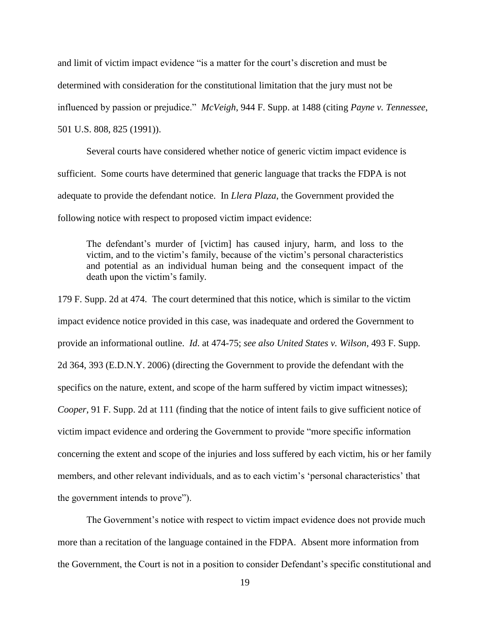and limit of victim impact evidence "is a matter for the court's discretion and must be determined with consideration for the constitutional limitation that the jury must not be influenced by passion or prejudice." *McVeigh*, 944 F. Supp. at 1488 (citing *Payne v. Tennessee*, 501 U.S. 808, 825 (1991)).

Several courts have considered whether notice of generic victim impact evidence is sufficient. Some courts have determined that generic language that tracks the FDPA is not adequate to provide the defendant notice. In *Llera Plaza*, the Government provided the following notice with respect to proposed victim impact evidence:

The defendant's murder of [victim] has caused injury, harm, and loss to the victim, and to the victim's family, because of the victim's personal characteristics and potential as an individual human being and the consequent impact of the death upon the victim's family.

179 F. Supp. 2d at 474. The court determined that this notice, which is similar to the victim impact evidence notice provided in this case, was inadequate and ordered the Government to provide an informational outline. *Id*. at 474-75; *see also United States v. Wilson*, 493 F. Supp. 2d 364, 393 (E.D.N.Y. 2006) (directing the Government to provide the defendant with the specifics on the nature, extent, and scope of the harm suffered by victim impact witnesses); *Cooper*, 91 F. Supp. 2d at 111 (finding that the notice of intent fails to give sufficient notice of victim impact evidence and ordering the Government to provide "more specific information concerning the extent and scope of the injuries and loss suffered by each victim, his or her family members, and other relevant individuals, and as to each victim's 'personal characteristics' that the government intends to prove").

The Government's notice with respect to victim impact evidence does not provide much more than a recitation of the language contained in the FDPA. Absent more information from the Government, the Court is not in a position to consider Defendant's specific constitutional and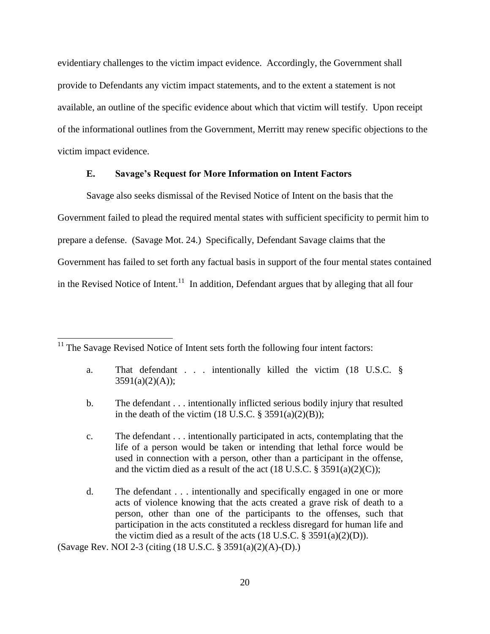evidentiary challenges to the victim impact evidence. Accordingly, the Government shall provide to Defendants any victim impact statements, and to the extent a statement is not available, an outline of the specific evidence about which that victim will testify. Upon receipt of the informational outlines from the Government, Merritt may renew specific objections to the victim impact evidence.

# **E. Savage's Request for More Information on Intent Factors**

Savage also seeks dismissal of the Revised Notice of Intent on the basis that the Government failed to plead the required mental states with sufficient specificity to permit him to prepare a defense. (Savage Mot. 24.) Specifically, Defendant Savage claims that the Government has failed to set forth any factual basis in support of the four mental states contained in the Revised Notice of Intent.<sup>11</sup> In addition, Defendant argues that by alleging that all four

 $11$ <sup>11</sup> The Savage Revised Notice of Intent sets forth the following four intent factors:

 $\overline{a}$ 

- a. That defendant . . . intentionally killed the victim (18 U.S.C. §  $3591(a)(2)(A));$
- b. The defendant . . . intentionally inflicted serious bodily injury that resulted in the death of the victim  $(18 \text{ U.S.C. } § 3591(a)(2)(B));$
- c. The defendant . . . intentionally participated in acts, contemplating that the life of a person would be taken or intending that lethal force would be used in connection with a person, other than a participant in the offense, and the victim died as a result of the act  $(18$  U.S.C. § 3591(a)(2)(C));
- d. The defendant . . . intentionally and specifically engaged in one or more acts of violence knowing that the acts created a grave risk of death to a person, other than one of the participants to the offenses, such that participation in the acts constituted a reckless disregard for human life and the victim died as a result of the acts  $(18 \text{ U.S.C.} \S 3591(a)(2)(D)).$

(Savage Rev. NOI 2-3 (citing (18 U.S.C. § 3591(a)(2)(A)-(D).)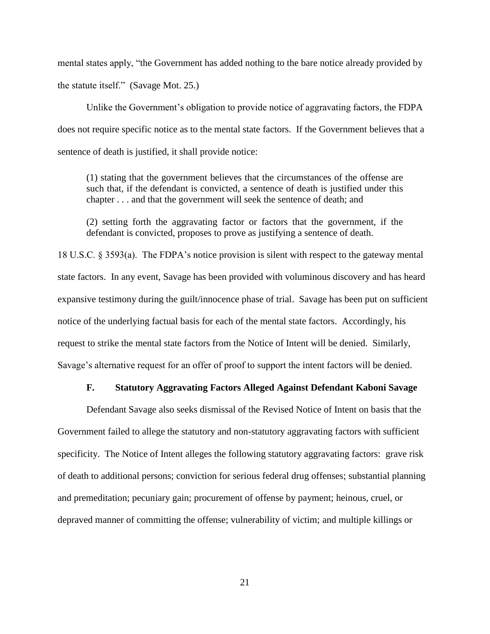mental states apply, "the Government has added nothing to the bare notice already provided by the statute itself." (Savage Mot. 25.)

Unlike the Government's obligation to provide notice of aggravating factors, the FDPA does not require specific notice as to the mental state factors. If the Government believes that a sentence of death is justified, it shall provide notice:

(1) stating that the government believes that the circumstances of the offense are such that, if the defendant is convicted, a sentence of death is justified under this chapter . . . and that the government will seek the sentence of death; and

(2) setting forth the aggravating factor or factors that the government, if the defendant is convicted, proposes to prove as justifying a sentence of death.

18 U.S.C. § 3593(a). The FDPA's notice provision is silent with respect to the gateway mental state factors. In any event, Savage has been provided with voluminous discovery and has heard expansive testimony during the guilt/innocence phase of trial. Savage has been put on sufficient notice of the underlying factual basis for each of the mental state factors. Accordingly, his request to strike the mental state factors from the Notice of Intent will be denied. Similarly, Savage's alternative request for an offer of proof to support the intent factors will be denied.

# **F. Statutory Aggravating Factors Alleged Against Defendant Kaboni Savage**

Defendant Savage also seeks dismissal of the Revised Notice of Intent on basis that the Government failed to allege the statutory and non-statutory aggravating factors with sufficient specificity. The Notice of Intent alleges the following statutory aggravating factors: grave risk of death to additional persons; conviction for serious federal drug offenses; substantial planning and premeditation; pecuniary gain; procurement of offense by payment; heinous, cruel, or depraved manner of committing the offense; vulnerability of victim; and multiple killings or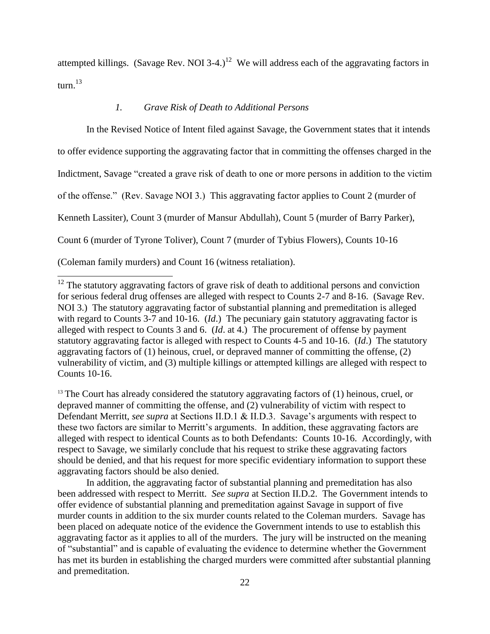attempted killings. (Savage Rev. NOI 3-4.)<sup>12</sup> We will address each of the aggravating factors in turn. $^{13}$ 

# *1. Grave Risk of Death to Additional Persons*

 $\overline{\phantom{a}}$ 

In the Revised Notice of Intent filed against Savage, the Government states that it intends to offer evidence supporting the aggravating factor that in committing the offenses charged in the Indictment, Savage "created a grave risk of death to one or more persons in addition to the victim of the offense." (Rev. Savage NOI 3.) This aggravating factor applies to Count 2 (murder of Kenneth Lassiter), Count 3 (murder of Mansur Abdullah), Count 5 (murder of Barry Parker), Count 6 (murder of Tyrone Toliver), Count 7 (murder of Tybius Flowers), Counts 10-16 (Coleman family murders) and Count 16 (witness retaliation).

 $13$  The Court has already considered the statutory aggravating factors of (1) heinous, cruel, or depraved manner of committing the offense, and (2) vulnerability of victim with respect to Defendant Merritt, *see supra* at Sections II.D.1 & II.D.3. Savage's arguments with respect to these two factors are similar to Merritt's arguments. In addition, these aggravating factors are alleged with respect to identical Counts as to both Defendants: Counts 10-16. Accordingly, with respect to Savage, we similarly conclude that his request to strike these aggravating factors should be denied, and that his request for more specific evidentiary information to support these aggravating factors should be also denied.

In addition, the aggravating factor of substantial planning and premeditation has also been addressed with respect to Merritt. *See supra* at Section II.D.2. The Government intends to offer evidence of substantial planning and premeditation against Savage in support of five murder counts in addition to the six murder counts related to the Coleman murders. Savage has been placed on adequate notice of the evidence the Government intends to use to establish this aggravating factor as it applies to all of the murders. The jury will be instructed on the meaning of "substantial" and is capable of evaluating the evidence to determine whether the Government has met its burden in establishing the charged murders were committed after substantial planning and premeditation.

 $12$  The statutory aggravating factors of grave risk of death to additional persons and conviction for serious federal drug offenses are alleged with respect to Counts 2-7 and 8-16. (Savage Rev. NOI 3.) The statutory aggravating factor of substantial planning and premeditation is alleged with regard to Counts 3-7 and 10-16. (*Id*.) The pecuniary gain statutory aggravating factor is alleged with respect to Counts 3 and 6. (*Id*. at 4.) The procurement of offense by payment statutory aggravating factor is alleged with respect to Counts 4-5 and 10-16. (*Id*.) The statutory aggravating factors of (1) heinous, cruel, or depraved manner of committing the offense, (2) vulnerability of victim, and (3) multiple killings or attempted killings are alleged with respect to Counts 10-16.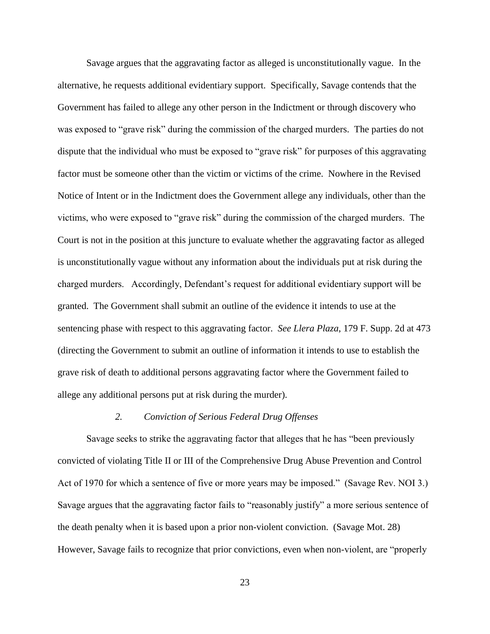Savage argues that the aggravating factor as alleged is unconstitutionally vague. In the alternative, he requests additional evidentiary support. Specifically, Savage contends that the Government has failed to allege any other person in the Indictment or through discovery who was exposed to "grave risk" during the commission of the charged murders. The parties do not dispute that the individual who must be exposed to "grave risk" for purposes of this aggravating factor must be someone other than the victim or victims of the crime. Nowhere in the Revised Notice of Intent or in the Indictment does the Government allege any individuals, other than the victims, who were exposed to "grave risk" during the commission of the charged murders. The Court is not in the position at this juncture to evaluate whether the aggravating factor as alleged is unconstitutionally vague without any information about the individuals put at risk during the charged murders. Accordingly, Defendant's request for additional evidentiary support will be granted. The Government shall submit an outline of the evidence it intends to use at the sentencing phase with respect to this aggravating factor. *See Llera Plaza*, 179 F. Supp. 2d at 473 (directing the Government to submit an outline of information it intends to use to establish the grave risk of death to additional persons aggravating factor where the Government failed to allege any additional persons put at risk during the murder).

#### *2. Conviction of Serious Federal Drug Offenses*

Savage seeks to strike the aggravating factor that alleges that he has "been previously convicted of violating Title II or III of the Comprehensive Drug Abuse Prevention and Control Act of 1970 for which a sentence of five or more years may be imposed." (Savage Rev. NOI 3.) Savage argues that the aggravating factor fails to "reasonably justify" a more serious sentence of the death penalty when it is based upon a prior non-violent conviction. (Savage Mot. 28) However, Savage fails to recognize that prior convictions, even when non-violent, are "properly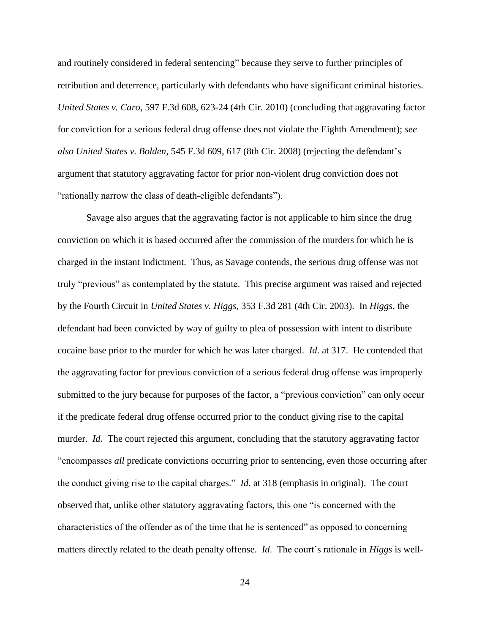and routinely considered in federal sentencing" because they serve to further principles of retribution and deterrence, particularly with defendants who have significant criminal histories. *United States v. Caro*, 597 F.3d 608, 623-24 (4th Cir. 2010) (concluding that aggravating factor for conviction for a serious federal drug offense does not violate the Eighth Amendment); *see also United States v. Bolden*, 545 F.3d 609, 617 (8th Cir. 2008) (rejecting the defendant's argument that statutory aggravating factor for prior non-violent drug conviction does not "rationally narrow the class of death-eligible defendants").

Savage also argues that the aggravating factor is not applicable to him since the drug conviction on which it is based occurred after the commission of the murders for which he is charged in the instant Indictment. Thus, as Savage contends, the serious drug offense was not truly "previous" as contemplated by the statute. This precise argument was raised and rejected by the Fourth Circuit in *United States v. Higgs*, 353 F.3d 281 (4th Cir. 2003). In *Higgs*, the defendant had been convicted by way of guilty to plea of possession with intent to distribute cocaine base prior to the murder for which he was later charged. *Id*. at 317. He contended that the aggravating factor for previous conviction of a serious federal drug offense was improperly submitted to the jury because for purposes of the factor, a "previous conviction" can only occur if the predicate federal drug offense occurred prior to the conduct giving rise to the capital murder. *Id.* The court rejected this argument, concluding that the statutory aggravating factor "encompasses *all* predicate convictions occurring prior to sentencing, even those occurring after the conduct giving rise to the capital charges." *Id*. at 318 (emphasis in original). The court observed that, unlike other statutory aggravating factors, this one "is concerned with the characteristics of the offender as of the time that he is sentenced" as opposed to concerning matters directly related to the death penalty offense. *Id*. The court's rationale in *Higgs* is well-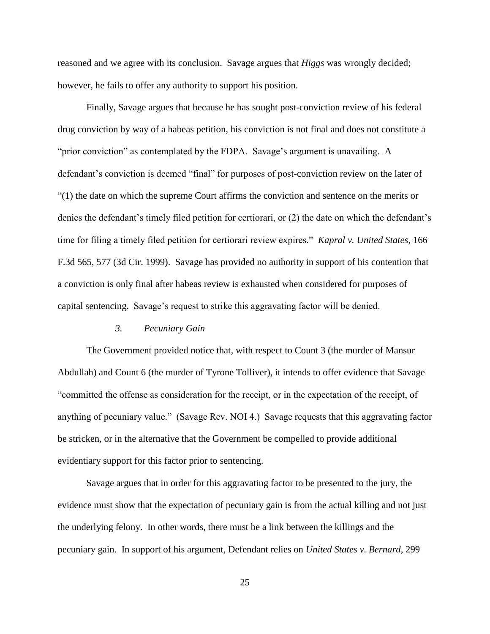reasoned and we agree with its conclusion. Savage argues that *Higgs* was wrongly decided; however, he fails to offer any authority to support his position.

Finally, Savage argues that because he has sought post-conviction review of his federal drug conviction by way of a habeas petition, his conviction is not final and does not constitute a "prior conviction" as contemplated by the FDPA. Savage's argument is unavailing. A defendant's conviction is deemed "final" for purposes of post-conviction review on the later of "(1) the date on which the supreme Court affirms the conviction and sentence on the merits or denies the defendant's timely filed petition for certiorari, or (2) the date on which the defendant's time for filing a timely filed petition for certiorari review expires." *Kapral v. United States*, 166 F.3d 565, 577 (3d Cir. 1999). Savage has provided no authority in support of his contention that a conviction is only final after habeas review is exhausted when considered for purposes of capital sentencing. Savage's request to strike this aggravating factor will be denied.

## *3. Pecuniary Gain*

The Government provided notice that, with respect to Count 3 (the murder of Mansur Abdullah) and Count 6 (the murder of Tyrone Tolliver), it intends to offer evidence that Savage "committed the offense as consideration for the receipt, or in the expectation of the receipt, of anything of pecuniary value." (Savage Rev. NOI 4.) Savage requests that this aggravating factor be stricken, or in the alternative that the Government be compelled to provide additional evidentiary support for this factor prior to sentencing.

Savage argues that in order for this aggravating factor to be presented to the jury, the evidence must show that the expectation of pecuniary gain is from the actual killing and not just the underlying felony. In other words, there must be a link between the killings and the pecuniary gain. In support of his argument, Defendant relies on *United States v. Bernard*, 299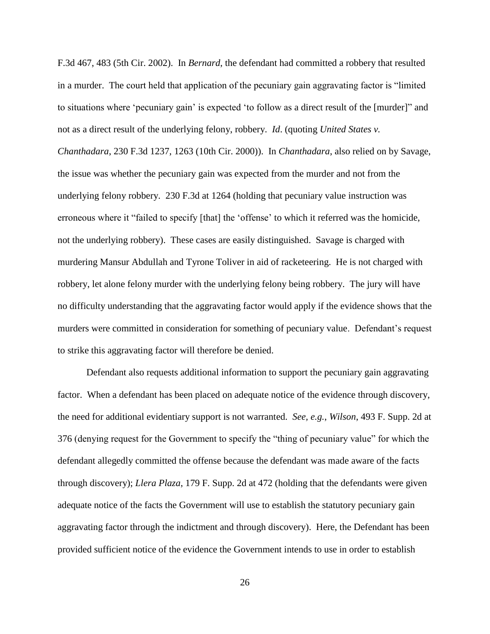F.3d 467, 483 (5th Cir. 2002). In *Bernard*, the defendant had committed a robbery that resulted in a murder. The court held that application of the pecuniary gain aggravating factor is "limited to situations where 'pecuniary gain' is expected 'to follow as a direct result of the [murder]" and not as a direct result of the underlying felony, robbery. *Id*. (quoting *United States v. Chanthadara*, 230 F.3d 1237, 1263 (10th Cir. 2000)). In *Chanthadara*, also relied on by Savage, the issue was whether the pecuniary gain was expected from the murder and not from the underlying felony robbery. 230 F.3d at 1264 (holding that pecuniary value instruction was erroneous where it "failed to specify [that] the 'offense' to which it referred was the homicide, not the underlying robbery). These cases are easily distinguished. Savage is charged with murdering Mansur Abdullah and Tyrone Toliver in aid of racketeering. He is not charged with robbery, let alone felony murder with the underlying felony being robbery. The jury will have no difficulty understanding that the aggravating factor would apply if the evidence shows that the murders were committed in consideration for something of pecuniary value. Defendant's request to strike this aggravating factor will therefore be denied.

Defendant also requests additional information to support the pecuniary gain aggravating factor. When a defendant has been placed on adequate notice of the evidence through discovery, the need for additional evidentiary support is not warranted. *See, e.g.*, *Wilson*, 493 F. Supp. 2d at 376 (denying request for the Government to specify the "thing of pecuniary value" for which the defendant allegedly committed the offense because the defendant was made aware of the facts through discovery); *Llera Plaza*, 179 F. Supp. 2d at 472 (holding that the defendants were given adequate notice of the facts the Government will use to establish the statutory pecuniary gain aggravating factor through the indictment and through discovery). Here, the Defendant has been provided sufficient notice of the evidence the Government intends to use in order to establish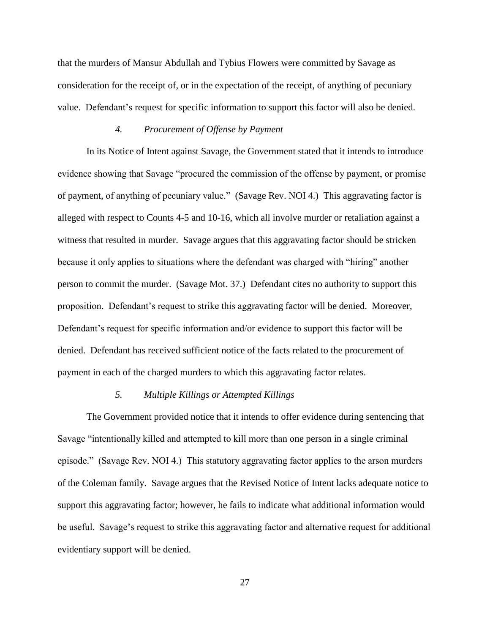that the murders of Mansur Abdullah and Tybius Flowers were committed by Savage as consideration for the receipt of, or in the expectation of the receipt, of anything of pecuniary value. Defendant's request for specific information to support this factor will also be denied.

## *4. Procurement of Offense by Payment*

In its Notice of Intent against Savage, the Government stated that it intends to introduce evidence showing that Savage "procured the commission of the offense by payment, or promise of payment, of anything of pecuniary value." (Savage Rev. NOI 4.) This aggravating factor is alleged with respect to Counts 4-5 and 10-16, which all involve murder or retaliation against a witness that resulted in murder. Savage argues that this aggravating factor should be stricken because it only applies to situations where the defendant was charged with "hiring" another person to commit the murder. (Savage Mot. 37.) Defendant cites no authority to support this proposition. Defendant's request to strike this aggravating factor will be denied. Moreover, Defendant's request for specific information and/or evidence to support this factor will be denied. Defendant has received sufficient notice of the facts related to the procurement of payment in each of the charged murders to which this aggravating factor relates.

## *5. Multiple Killings or Attempted Killings*

The Government provided notice that it intends to offer evidence during sentencing that Savage "intentionally killed and attempted to kill more than one person in a single criminal episode." (Savage Rev. NOI 4.) This statutory aggravating factor applies to the arson murders of the Coleman family. Savage argues that the Revised Notice of Intent lacks adequate notice to support this aggravating factor; however, he fails to indicate what additional information would be useful. Savage's request to strike this aggravating factor and alternative request for additional evidentiary support will be denied.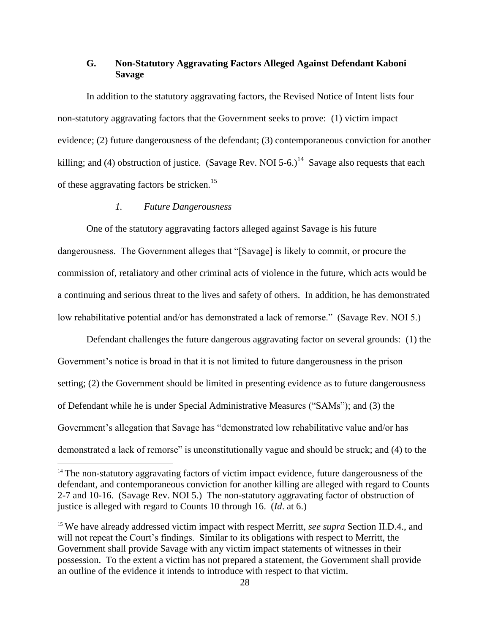# **G. Non-Statutory Aggravating Factors Alleged Against Defendant Kaboni Savage**

In addition to the statutory aggravating factors, the Revised Notice of Intent lists four non-statutory aggravating factors that the Government seeks to prove: (1) victim impact evidence; (2) future dangerousness of the defendant; (3) contemporaneous conviction for another killing; and (4) obstruction of justice. (Savage Rev. NOI 5-6.)<sup>14</sup> Savage also requests that each of these aggravating factors be stricken.<sup>15</sup>

# *1. Future Dangerousness*

 $\overline{a}$ 

One of the statutory aggravating factors alleged against Savage is his future dangerousness. The Government alleges that "[Savage] is likely to commit, or procure the commission of, retaliatory and other criminal acts of violence in the future, which acts would be a continuing and serious threat to the lives and safety of others. In addition, he has demonstrated low rehabilitative potential and/or has demonstrated a lack of remorse." (Savage Rev. NOI 5.)

Defendant challenges the future dangerous aggravating factor on several grounds: (1) the Government's notice is broad in that it is not limited to future dangerousness in the prison setting; (2) the Government should be limited in presenting evidence as to future dangerousness of Defendant while he is under Special Administrative Measures ("SAMs"); and (3) the Government's allegation that Savage has "demonstrated low rehabilitative value and/or has demonstrated a lack of remorse" is unconstitutionally vague and should be struck; and (4) to the

<sup>&</sup>lt;sup>14</sup> The non-statutory aggravating factors of victim impact evidence, future dangerousness of the defendant, and contemporaneous conviction for another killing are alleged with regard to Counts 2-7 and 10-16. (Savage Rev. NOI 5.) The non-statutory aggravating factor of obstruction of justice is alleged with regard to Counts 10 through 16. (*Id*. at 6.)

<sup>15</sup> We have already addressed victim impact with respect Merritt, *see supra* Section II.D.4., and will not repeat the Court's findings. Similar to its obligations with respect to Merritt, the Government shall provide Savage with any victim impact statements of witnesses in their possession. To the extent a victim has not prepared a statement, the Government shall provide an outline of the evidence it intends to introduce with respect to that victim.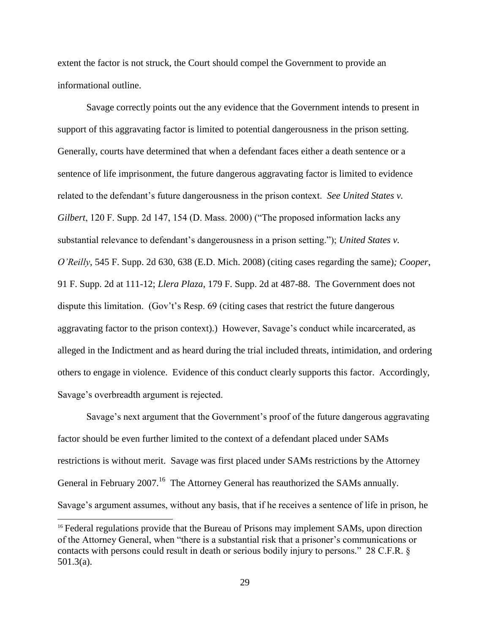extent the factor is not struck, the Court should compel the Government to provide an informational outline.

Savage correctly points out the any evidence that the Government intends to present in support of this aggravating factor is limited to potential dangerousness in the prison setting. Generally, courts have determined that when a defendant faces either a death sentence or a sentence of life imprisonment, the future dangerous aggravating factor is limited to evidence related to the defendant's future dangerousness in the prison context. *See United States v. Gilbert*, 120 F. Supp. 2d 147, 154 (D. Mass. 2000) ("The proposed information lacks any substantial relevance to defendant's dangerousness in a prison setting."); *United States v. O'Reilly*, 545 F. Supp. 2d 630, 638 (E.D. Mich. 2008) (citing cases regarding the same)*; Cooper*, 91 F. Supp. 2d at 111-12; *Llera Plaza*, 179 F. Supp. 2d at 487-88.The Government does not dispute this limitation. (Gov't's Resp. 69 (citing cases that restrict the future dangerous aggravating factor to the prison context).) However, Savage's conduct while incarcerated, as alleged in the Indictment and as heard during the trial included threats, intimidation, and ordering others to engage in violence. Evidence of this conduct clearly supports this factor. Accordingly, Savage's overbreadth argument is rejected.

Savage's next argument that the Government's proof of the future dangerous aggravating factor should be even further limited to the context of a defendant placed under SAMs restrictions is without merit. Savage was first placed under SAMs restrictions by the Attorney General in February  $2007$ .<sup>16</sup> The Attorney General has reauthorized the SAMs annually. Savage's argument assumes, without any basis, that if he receives a sentence of life in prison, he

l

<sup>&</sup>lt;sup>16</sup> Federal regulations provide that the Bureau of Prisons may implement SAMs, upon direction of the Attorney General, when "there is a substantial risk that a prisoner's communications or contacts with persons could result in death or serious bodily injury to persons." 28 C.F.R. § 501.3(a).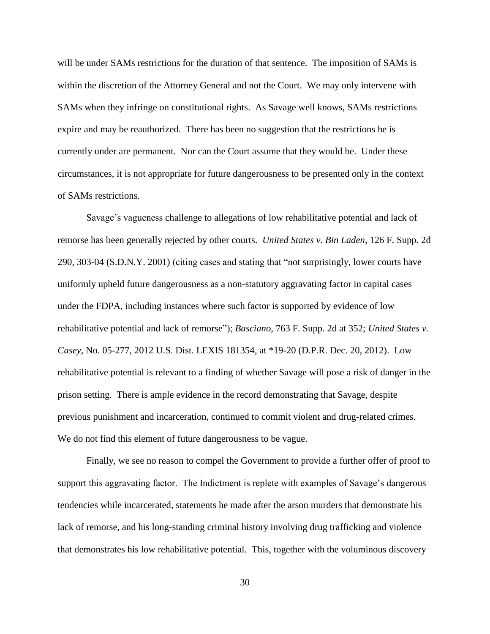will be under SAMs restrictions for the duration of that sentence. The imposition of SAMs is within the discretion of the Attorney General and not the Court. We may only intervene with SAMs when they infringe on constitutional rights. As Savage well knows, SAMs restrictions expire and may be reauthorized. There has been no suggestion that the restrictions he is currently under are permanent. Nor can the Court assume that they would be. Under these circumstances, it is not appropriate for future dangerousness to be presented only in the context of SAMs restrictions.

Savage's vagueness challenge to allegations of low rehabilitative potential and lack of remorse has been generally rejected by other courts. *United States v. Bin Laden*, 126 F. Supp. 2d 290, 303-04 (S.D.N.Y. 2001) (citing cases and stating that "not surprisingly, lower courts have uniformly upheld future dangerousness as a non-statutory aggravating factor in capital cases under the FDPA, including instances where such factor is supported by evidence of low rehabilitative potential and lack of remorse"); *Basciano*, 763 F. Supp. 2d at 352; *United States v. Casey*, No. 05-277, 2012 U.S. Dist. LEXIS 181354, at \*19-20 (D.P.R. Dec. 20, 2012). Low rehabilitative potential is relevant to a finding of whether Savage will pose a risk of danger in the prison setting. There is ample evidence in the record demonstrating that Savage, despite previous punishment and incarceration, continued to commit violent and drug-related crimes. We do not find this element of future dangerousness to be vague.

Finally, we see no reason to compel the Government to provide a further offer of proof to support this aggravating factor. The Indictment is replete with examples of Savage's dangerous tendencies while incarcerated, statements he made after the arson murders that demonstrate his lack of remorse, and his long-standing criminal history involving drug trafficking and violence that demonstrates his low rehabilitative potential. This, together with the voluminous discovery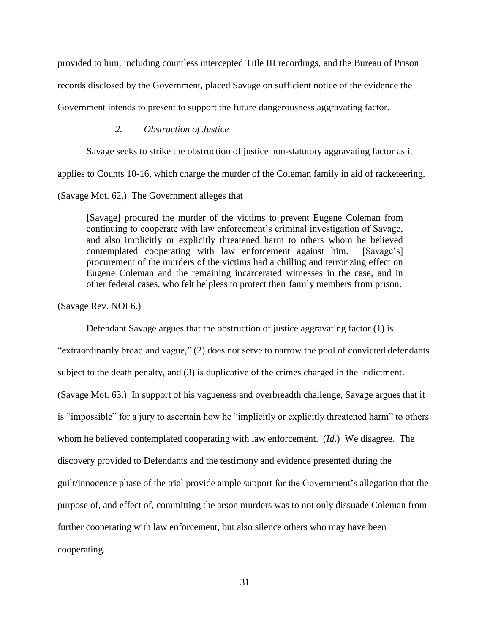provided to him, including countless intercepted Title III recordings, and the Bureau of Prison records disclosed by the Government, placed Savage on sufficient notice of the evidence the

Government intends to present to support the future dangerousness aggravating factor.

## *2. Obstruction of Justice*

Savage seeks to strike the obstruction of justice non-statutory aggravating factor as it

applies to Counts 10-16, which charge the murder of the Coleman family in aid of racketeering.

### (Savage Mot. 62.) The Government alleges that

[Savage] procured the murder of the victims to prevent Eugene Coleman from continuing to cooperate with law enforcement's criminal investigation of Savage, and also implicitly or explicitly threatened harm to others whom he believed contemplated cooperating with law enforcement against him. [Savage's] procurement of the murders of the victims had a chilling and terrorizing effect on Eugene Coleman and the remaining incarcerated witnesses in the case, and in other federal cases, who felt helpless to protect their family members from prison.

(Savage Rev. NOI 6.)

Defendant Savage argues that the obstruction of justice aggravating factor (1) is

"extraordinarily broad and vague," (2) does not serve to narrow the pool of convicted defendants subject to the death penalty, and (3) is duplicative of the crimes charged in the Indictment. (Savage Mot. 63.) In support of his vagueness and overbreadth challenge, Savage argues that it is "impossible" for a jury to ascertain how he "implicitly or explicitly threatened harm" to others whom he believed contemplated cooperating with law enforcement. (*Id*.) We disagree. The discovery provided to Defendants and the testimony and evidence presented during the guilt/innocence phase of the trial provide ample support for the Government's allegation that the purpose of, and effect of, committing the arson murders was to not only dissuade Coleman from further cooperating with law enforcement, but also silence others who may have been cooperating.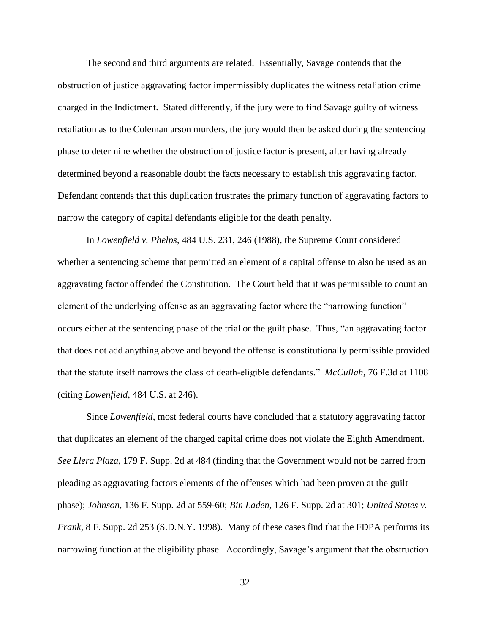The second and third arguments are related*.* Essentially, Savage contends that the obstruction of justice aggravating factor impermissibly duplicates the witness retaliation crime charged in the Indictment. Stated differently, if the jury were to find Savage guilty of witness retaliation as to the Coleman arson murders, the jury would then be asked during the sentencing phase to determine whether the obstruction of justice factor is present, after having already determined beyond a reasonable doubt the facts necessary to establish this aggravating factor. Defendant contends that this duplication frustrates the primary function of aggravating factors to narrow the category of capital defendants eligible for the death penalty.

In *Lowenfield v. Phelps*, 484 U.S. 231, 246 (1988), the Supreme Court considered whether a sentencing scheme that permitted an element of a capital offense to also be used as an aggravating factor offended the Constitution. The Court held that it was permissible to count an element of the underlying offense as an aggravating factor where the "narrowing function" occurs either at the sentencing phase of the trial or the guilt phase. Thus, "an aggravating factor that does not add anything above and beyond the offense is constitutionally permissible provided that the statute itself narrows the class of death-eligible defendants." *McCullah*, 76 F.3d at 1108 (citing *Lowenfield*, 484 U.S. at 246).

Since *Lowenfield*, most federal courts have concluded that a statutory aggravating factor that duplicates an element of the charged capital crime does not violate the Eighth Amendment. *See Llera Plaza*, 179 F. Supp. 2d at 484 (finding that the Government would not be barred from pleading as aggravating factors elements of the offenses which had been proven at the guilt phase); *Johnson*, 136 F. Supp. 2d at 559-60; *Bin Laden*, 126 F. Supp. 2d at 301; *United States v. Frank*, 8 F. Supp. 2d 253 (S.D.N.Y. 1998). Many of these cases find that the FDPA performs its narrowing function at the eligibility phase. Accordingly, Savage's argument that the obstruction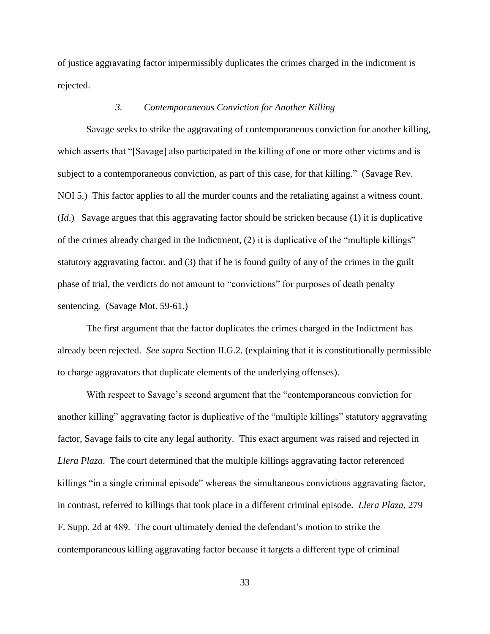of justice aggravating factor impermissibly duplicates the crimes charged in the indictment is rejected.

## *3. Contemporaneous Conviction for Another Killing*

Savage seeks to strike the aggravating of contemporaneous conviction for another killing, which asserts that "[Savage] also participated in the killing of one or more other victims and is subject to a contemporaneous conviction, as part of this case, for that killing." (Savage Rev. NOI 5.) This factor applies to all the murder counts and the retaliating against a witness count. (*Id*.) Savage argues that this aggravating factor should be stricken because (1) it is duplicative of the crimes already charged in the Indictment, (2) it is duplicative of the "multiple killings" statutory aggravating factor, and (3) that if he is found guilty of any of the crimes in the guilt phase of trial, the verdicts do not amount to "convictions" for purposes of death penalty sentencing. (Savage Mot. 59-61.)

The first argument that the factor duplicates the crimes charged in the Indictment has already been rejected. *See supra* Section II.G.2. (explaining that it is constitutionally permissible to charge aggravators that duplicate elements of the underlying offenses).

With respect to Savage's second argument that the "contemporaneous conviction for another killing" aggravating factor is duplicative of the "multiple killings" statutory aggravating factor, Savage fails to cite any legal authority. This exact argument was raised and rejected in *Llera Plaza*. The court determined that the multiple killings aggravating factor referenced killings "in a single criminal episode" whereas the simultaneous convictions aggravating factor, in contrast, referred to killings that took place in a different criminal episode. *Llera Plaza*, 279 F. Supp. 2d at 489. The court ultimately denied the defendant's motion to strike the contemporaneous killing aggravating factor because it targets a different type of criminal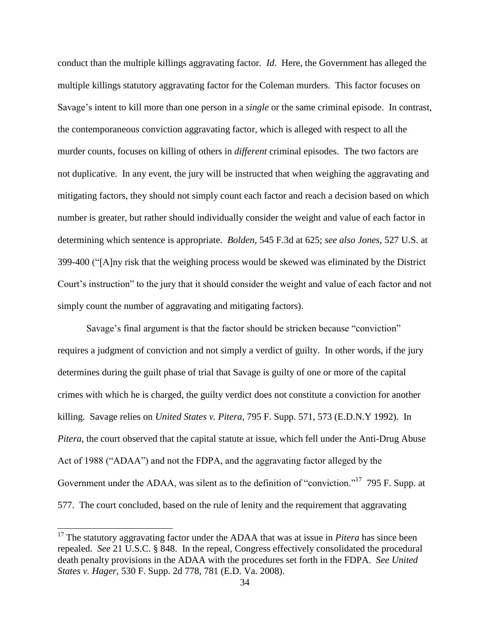conduct than the multiple killings aggravating factor. *Id*. Here, the Government has alleged the multiple killings statutory aggravating factor for the Coleman murders. This factor focuses on Savage's intent to kill more than one person in a *single* or the same criminal episode. In contrast, the contemporaneous conviction aggravating factor, which is alleged with respect to all the murder counts, focuses on killing of others in *different* criminal episodes. The two factors are not duplicative. In any event, the jury will be instructed that when weighing the aggravating and mitigating factors, they should not simply count each factor and reach a decision based on which number is greater, but rather should individually consider the weight and value of each factor in determining which sentence is appropriate. *Bolden*, 545 F.3d at 625; *see also Jones*, 527 U.S. at 399-400 ("[A]ny risk that the weighing process would be skewed was eliminated by the District Court's instruction" to the jury that it should consider the weight and value of each factor and not simply count the number of aggravating and mitigating factors).

Savage's final argument is that the factor should be stricken because "conviction" requires a judgment of conviction and not simply a verdict of guilty. In other words, if the jury determines during the guilt phase of trial that Savage is guilty of one or more of the capital crimes with which he is charged, the guilty verdict does not constitute a conviction for another killing. Savage relies on *United States v. Pitera*, 795 F. Supp. 571, 573 (E.D.N.Y 1992). In *Pitera*, the court observed that the capital statute at issue, which fell under the Anti-Drug Abuse Act of 1988 ("ADAA") and not the FDPA, and the aggravating factor alleged by the Government under the ADAA, was silent as to the definition of "conviction."<sup>17</sup> 795 F. Supp. at 577. The court concluded, based on the rule of lenity and the requirement that aggravating

 $\overline{\phantom{a}}$ 

<sup>&</sup>lt;sup>17</sup> The statutory aggravating factor under the ADAA that was at issue in *Pitera* has since been repealed. *See* 21 U.S.C. § 848. In the repeal, Congress effectively consolidated the procedural death penalty provisions in the ADAA with the procedures set forth in the FDPA. *See United States v. Hager*, 530 F. Supp. 2d 778, 781 (E.D. Va. 2008).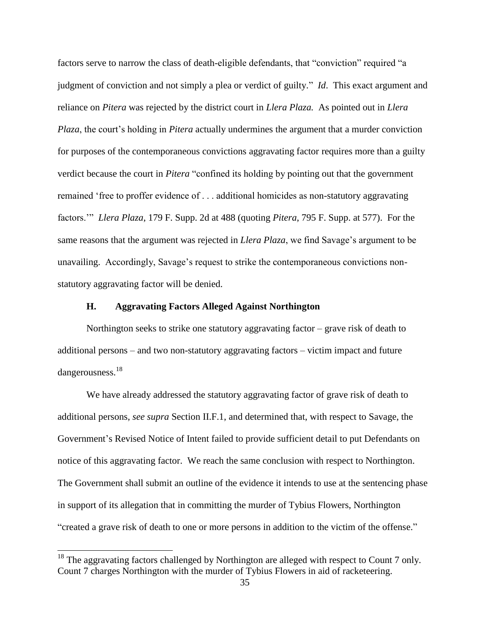factors serve to narrow the class of death-eligible defendants, that "conviction" required "a judgment of conviction and not simply a plea or verdict of guilty." *Id*. This exact argument and reliance on *Pitera* was rejected by the district court in *Llera Plaza.* As pointed out in *Llera Plaza*, the court's holding in *Pitera* actually undermines the argument that a murder conviction for purposes of the contemporaneous convictions aggravating factor requires more than a guilty verdict because the court in *Pitera* "confined its holding by pointing out that the government remained 'free to proffer evidence of . . . additional homicides as non-statutory aggravating factors.'" *Llera Plaza*, 179 F. Supp. 2d at 488 (quoting *Pitera*, 795 F. Supp. at 577). For the same reasons that the argument was rejected in *Llera Plaza*, we find Savage's argument to be unavailing. Accordingly, Savage's request to strike the contemporaneous convictions nonstatutory aggravating factor will be denied.

## **H. Aggravating Factors Alleged Against Northington**

Northington seeks to strike one statutory aggravating factor – grave risk of death to additional persons – and two non-statutory aggravating factors – victim impact and future dangerousness.<sup>18</sup>

We have already addressed the statutory aggravating factor of grave risk of death to additional persons, *see supra* Section II.F.1, and determined that, with respect to Savage, the Government's Revised Notice of Intent failed to provide sufficient detail to put Defendants on notice of this aggravating factor. We reach the same conclusion with respect to Northington. The Government shall submit an outline of the evidence it intends to use at the sentencing phase in support of its allegation that in committing the murder of Tybius Flowers, Northington "created a grave risk of death to one or more persons in addition to the victim of the offense."

 $\overline{\phantom{a}}$ 

 $18$  The aggravating factors challenged by Northington are alleged with respect to Count 7 only. Count 7 charges Northington with the murder of Tybius Flowers in aid of racketeering.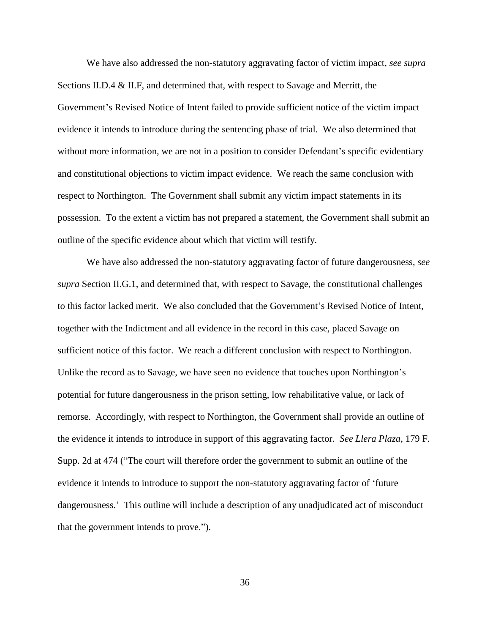We have also addressed the non-statutory aggravating factor of victim impact, *see supra* Sections II.D.4 & II.F, and determined that, with respect to Savage and Merritt, the Government's Revised Notice of Intent failed to provide sufficient notice of the victim impact evidence it intends to introduce during the sentencing phase of trial. We also determined that without more information, we are not in a position to consider Defendant's specific evidentiary and constitutional objections to victim impact evidence. We reach the same conclusion with respect to Northington. The Government shall submit any victim impact statements in its possession. To the extent a victim has not prepared a statement, the Government shall submit an outline of the specific evidence about which that victim will testify.

We have also addressed the non-statutory aggravating factor of future dangerousness, *see supra* Section II.G.1, and determined that, with respect to Savage, the constitutional challenges to this factor lacked merit. We also concluded that the Government's Revised Notice of Intent, together with the Indictment and all evidence in the record in this case, placed Savage on sufficient notice of this factor. We reach a different conclusion with respect to Northington. Unlike the record as to Savage, we have seen no evidence that touches upon Northington's potential for future dangerousness in the prison setting, low rehabilitative value, or lack of remorse. Accordingly, with respect to Northington, the Government shall provide an outline of the evidence it intends to introduce in support of this aggravating factor. *See Llera Plaza*, 179 F. Supp. 2d at 474 ("The court will therefore order the government to submit an outline of the evidence it intends to introduce to support the non-statutory aggravating factor of 'future dangerousness.' This outline will include a description of any unadjudicated act of misconduct that the government intends to prove.").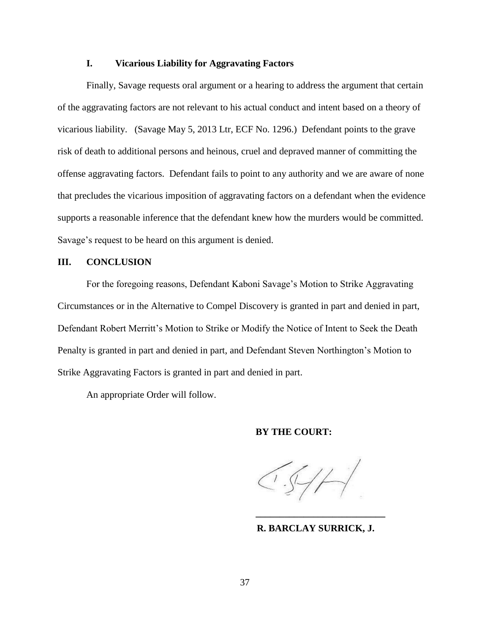## **I. Vicarious Liability for Aggravating Factors**

Finally, Savage requests oral argument or a hearing to address the argument that certain of the aggravating factors are not relevant to his actual conduct and intent based on a theory of vicarious liability. (Savage May 5, 2013 Ltr, ECF No. 1296.) Defendant points to the grave risk of death to additional persons and heinous, cruel and depraved manner of committing the offense aggravating factors. Defendant fails to point to any authority and we are aware of none that precludes the vicarious imposition of aggravating factors on a defendant when the evidence supports a reasonable inference that the defendant knew how the murders would be committed. Savage's request to be heard on this argument is denied.

# **III. CONCLUSION**

For the foregoing reasons, Defendant Kaboni Savage's Motion to Strike Aggravating Circumstances or in the Alternative to Compel Discovery is granted in part and denied in part, Defendant Robert Merritt's Motion to Strike or Modify the Notice of Intent to Seek the Death Penalty is granted in part and denied in part, and Defendant Steven Northington's Motion to Strike Aggravating Factors is granted in part and denied in part.

An appropriate Order will follow.

## **BY THE COURT:**

 **R. BARCLAY SURRICK, J.**

**\_\_\_\_\_\_\_\_\_\_\_\_\_\_\_\_\_\_\_\_\_\_\_\_\_\_\_**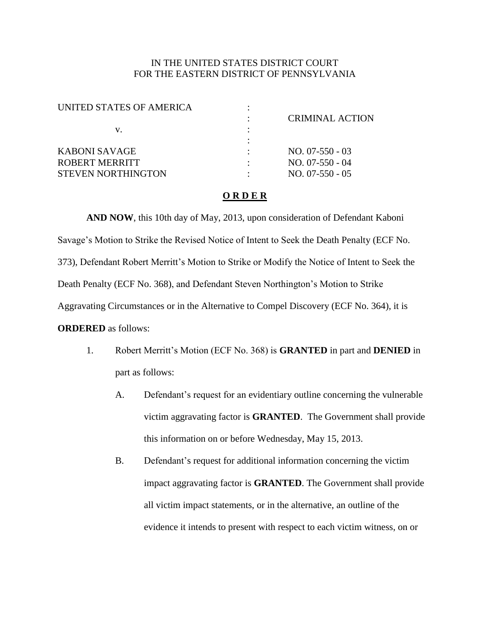# IN THE UNITED STATES DISTRICT COURT FOR THE EASTERN DISTRICT OF PENNSYLVANIA

| UNITED STATES OF AMERICA  |                   |
|---------------------------|-------------------|
|                           | CRIMINAL ACTION   |
| V.                        |                   |
|                           |                   |
| KABONI SAVAGE             | $NO. 07-550-03$   |
| ROBERT MERRITT            | $NO. 07-550 - 04$ |
| <b>STEVEN NORTHINGTON</b> | $NO. 07-550 - 05$ |
|                           |                   |

## **O R D E R**

**AND NOW**, this 10th day of May, 2013, upon consideration of Defendant Kaboni Savage's Motion to Strike the Revised Notice of Intent to Seek the Death Penalty (ECF No. 373), Defendant Robert Merritt's Motion to Strike or Modify the Notice of Intent to Seek the Death Penalty (ECF No. 368), and Defendant Steven Northington's Motion to Strike Aggravating Circumstances or in the Alternative to Compel Discovery (ECF No. 364), it is **ORDERED** as follows:

- 1. Robert Merritt's Motion (ECF No. 368) is **GRANTED** in part and **DENIED** in part as follows:
	- A. Defendant's request for an evidentiary outline concerning the vulnerable victim aggravating factor is **GRANTED**. The Government shall provide this information on or before Wednesday, May 15, 2013.
	- B. Defendant's request for additional information concerning the victim impact aggravating factor is **GRANTED**. The Government shall provide all victim impact statements, or in the alternative, an outline of the evidence it intends to present with respect to each victim witness, on or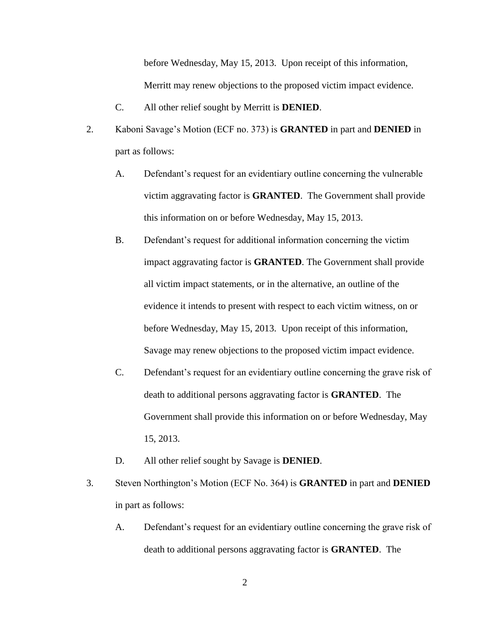before Wednesday, May 15, 2013. Upon receipt of this information, Merritt may renew objections to the proposed victim impact evidence.

- C. All other relief sought by Merritt is **DENIED**.
- 2. Kaboni Savage's Motion (ECF no. 373) is **GRANTED** in part and **DENIED** in part as follows:
	- A. Defendant's request for an evidentiary outline concerning the vulnerable victim aggravating factor is **GRANTED**. The Government shall provide this information on or before Wednesday, May 15, 2013.
	- B. Defendant's request for additional information concerning the victim impact aggravating factor is **GRANTED**. The Government shall provide all victim impact statements, or in the alternative, an outline of the evidence it intends to present with respect to each victim witness, on or before Wednesday, May 15, 2013. Upon receipt of this information, Savage may renew objections to the proposed victim impact evidence.
	- C. Defendant's request for an evidentiary outline concerning the grave risk of death to additional persons aggravating factor is **GRANTED**. The Government shall provide this information on or before Wednesday, May 15, 2013.
	- D. All other relief sought by Savage is **DENIED**.
- 3. Steven Northington's Motion (ECF No. 364) is **GRANTED** in part and **DENIED** in part as follows:
	- A. Defendant's request for an evidentiary outline concerning the grave risk of death to additional persons aggravating factor is **GRANTED**. The